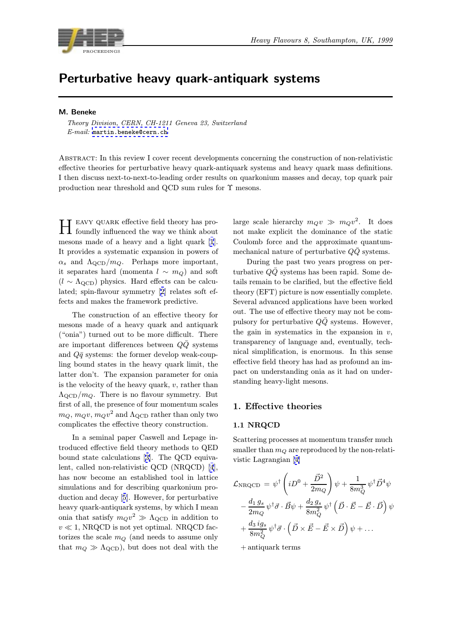<span id="page-0-0"></span>

# Perturbative heavy quark-antiquark systems

## M. Beneke

Theory Division, CERN, CH-1211 Geneva 23, Switzerland E-mail: martin.beneke@cern.ch

Abstract: In this review I cover recent developments concerning the construction of non-relativistic effective t[heories for perturbative](mailto:martin.beneke@cern.ch) heavy quark-antiquark systems and heavy quark mass definitions. I then discuss next-to-next-to-leading order results on quarkonium masses and decay, top quark pair production near threshold and QCD sum rules for  $\Upsilon$  mesons.

Heavy quark effective field theory has pro-foundly influenced the way we think about mesons made of a heavy and a light quark [1]. It provides a systematic expansion in powers of  $\alpha_s$  and  $\Lambda_{\rm QCD}/m_Q$ . Perhaps more important, it separates hard (momenta  $l \sim m_Q$ ) and soft  $(l \sim \Lambda_{\text{QCD}})$  physics. Hard effects can be cal[cu](#page-19-0)lated; spin-flavour symmetry [2] relates soft effects and makes the framework predictive.

The construction of an effective theory for mesons made of a heavy qua[rk](#page-19-0) and antiquark ("onia") turned out to be more difficult. There are important differences between  $Q\bar{Q}$  systems and  $Q\bar{q}$  systems: the former develop weak-coupling bound states in the heavy quark limit, the latter don't. The expansion parameter for onia is the velocity of the heavy quark,  $v$ , rather than  $\Lambda_{\rm QCD}/m_Q$ . There is no flavour symmetry. But first of all, the presence of four momentum scales  $m_Q, m_Qv, m_Qv^2$  and  $\Lambda_{\text{QCD}}$  rather than only two complicates the effective theory construction.

In a seminal paper Caswell and Lepage introduced effective field theory methods to QED bound state calculations [3]. The QCD equivalent, called non-relativistic QCD (NRQCD) [4], has now become an established tool in lattice simulations and for describing quarkonium production and decay [5]. Ho[we](#page-19-0)ver, for perturbative heavy quark-antiquark systems, by which I m[ea](#page-19-0)n onia that satisfy  $m_Qv^2 \gg \Lambda_{\rm QCD}$  in addition to  $v \ll 1$ , NRQCD is not yet optimal. NRQCD factorizes the scale  $m_Q$  $m_Q$  (and needs to assume only that  $m_Q \gg \Lambda_{\rm QCD}$ , but does not deal with the large scale hierarchy  $m_Qv \gg m_Qv^2$ . It does not make explicit the dominance of the static Coulomb force and the approximate quantummechanical nature of perturbative  $Q\overline{Q}$  systems.

During the past two years progress on perturbative  $Q\bar{Q}$  systems has been rapid. Some details remain to be clarified, but the effective field theory (EFT) picture is now essentially complete. Several advanced applications have been worked out. The use of effective theory may not be compulsory for perturbative  $Q\overline{Q}$  systems. However, the gain in systematics in the expansion in  $v$ , transparency of language and, eventually, technical simplification, is enormous. In this sense effective field theory has had as profound an impact on understanding onia as it had on understanding heavy-light mesons.

# 1. Effective theories

## 1.1 NRQCD

Scattering processes at momentum transfer much smaller than  $m_Q$  are reproduced by the non-relativistic Lagrangian [4]

$$
\mathcal{L}_{\text{NRQCD}} = \psi^{\dagger} \left( iD^{0} + \frac{\vec{D}^{2}}{2m_{Q}} \right) \psi + \frac{1}{8m_{Q}^{3}} \psi^{\dagger} \vec{D}^{4} \psi
$$

$$
- \frac{d_{1} g_{s}}{2m_{Q}} \psi^{\dagger} \vec{\sigma} \cdot \vec{B} \psi + \frac{d_{2} g_{s}}{8m_{Q}^{2}} \psi^{\dagger} \left( \vec{D} \cdot \vec{E} - \vec{E} \cdot \vec{D} \right) \psi
$$

$$
+ \frac{d_{3} ig_{s}}{8m_{Q}^{2}} \psi^{\dagger} \vec{\sigma} \cdot \left( \vec{D} \times \vec{E} - \vec{E} \times \vec{D} \right) \psi + \dots
$$

+ antiquark terms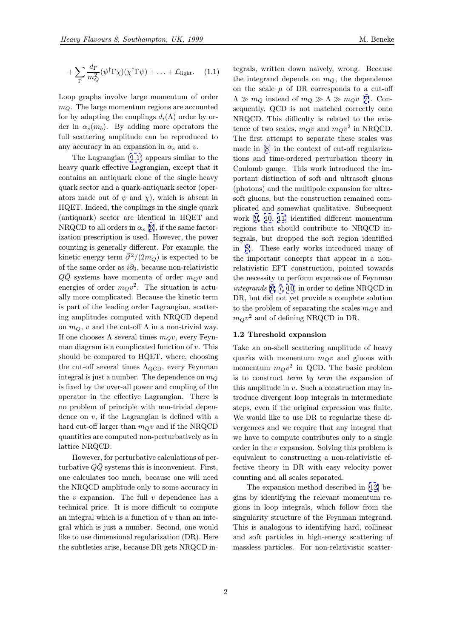$$
+\sum_{\Gamma} \frac{d_{\Gamma}}{m_Q^2} (\psi^{\dagger} \Gamma \chi)(\chi^{\dagger} \Gamma \psi) + \ldots + \mathcal{L}_{\text{light}}.
$$
 (1.1)

Loop graphs involve large momentum of order  $m_Q$ . The large momentum regions are accounted for by adapting the couplings  $d_i(\Lambda)$  order by order in  $\alpha_s(m_b)$ . By adding more operators the full scattering amplitude can be reproduced to any accuracy in an expansion in  $\alpha_s$  and v.

The Lagrangian (1.1) appears similar to the heavy quark effective Lagrangian, except that it contains an antiquark clone of the single heavy quark sector and a quark-antiquark sector (operators made out of  $\psi$  [and](#page-0-0)  $\chi$ ), which is absent in HQET. Indeed, the couplings in the single quark (antiquark) sector are identical in HQET and NRQCD to all orders in  $\alpha_s$  [6], if the same factorization prescription is used. However, the power counting is generally different. For example, the kinetic energy term  $\vec{\partial}^2/(2m_Q)$  is expected to be of the same order as  $i\partial_0$ , be[ca](#page-19-0)use non-relativistic  $QQ$  systems have momenta of order  $m_Qv$  and energies of order  $m_Qv^2$ . The situation is actually more complicated. Because the kinetic term is part of the leading order Lagrangian, scattering amplitudes computed with NRQCD depend on  $m_Q$ , v and the cut-off  $\Lambda$  in a non-trivial way. If one chooses  $\Lambda$  several times  $m_Q v$ , every Feynman diagram is a complicated function of  $v$ . This should be compared to HQET, where, choosing the cut-off several times  $\Lambda_{\rm QCD}$ , every Feynman integral is just a number. The dependence on  $m_Q$ is fixed by the over-all power and coupling of the operator in the effective Lagrangian. There is no problem of principle with non-trivial dependence on  $v$ , if the Lagrangian is defined with a hard cut-off larger than  $m_Qv$  and if the NRQCD quantities are computed non-perturbatively as in lattice NRQCD.

However, for perturbative calculations of perturbative  $QQ$  systems this is inconvenient. First, one calculates too much, because one will need the NRQCD amplitude only to some accuracy in the  $v$  expansion. The full  $v$  dependence has a technical price. It is more difficult to compute an integral which is a function of  $v$  than an integral which is just a number. Second, one would like to use dimensional regularization (DR). Here the subtleties arise, because DR gets NRQCD in-

tegrals, written down naively, wrong. Because the integrand depends on  $m_Q$ , the dependence on the scale  $\mu$  of DR corresponds to a cut-off  $\Lambda \gg m_Q$  instead of  $m_Q \gg \Lambda \gg m_Q v$  [7]. Consequently, QCD is not matched correctly onto NRQCD. This difficulty is related to the existence of two scales,  $m_Qv$  and  $m_Qv^2$  in NRQCD. The first attempt to separate these s[ca](#page-19-0)les was made in [8] in the context of cut-off regularizations and time-ordered perturbation theory in Coulomb gauge. This work introduced the important distinction of soft and ultrasoft gluons (photons) [a](#page-19-0)nd the multipole expansion for ultrasoft gluons, but the construction remained complicated and somewhat qualitative. Subsequent work [9, 10, 11] identified different momentum regions that should contribute to NRQCD integrals, but dropped the soft region identified in [8]. These early works introduced many of the i[mp](#page-19-0)o[rtant c](#page-19-0)oncepts that appear in a nonrelativistic EFT construction, pointed towards the necessity to perform expansions of Feynman int[egr](#page-19-0)ands [6, 7, 10] in order to define NRQCD in DR, but did not yet provide a complete solution to the problem of separating the scales  $m_Qv$  and  $m_Qv^2$  and [of](#page-19-0) [defini](#page-19-0)ng NRQCD in DR.

### 1.2 Threshold expansion

Take an on-shell scattering amplitude of heavy quarks with momentum  $m_Qv$  and gluons with momentum  $m_Qv^2$  in QCD. The basic problem is to construct term by term the expansion of this amplitude in  $v$ . Such a construction may introduce divergent loop integrals in intermediate steps, even if the original expression was finite. We would like to use DR to regularize these divergences and we require that any integral that we have to compute contributes only to a single order in the v expansion. Solving this problem is equivalent to constructing a non-relativistic effective theory in DR with easy velocity power counting and all scales separated.

The expansion method described in [12] begins by identifying the relevant momentum regions in loop integrals, which follow from the singularity structure of the Feynman integrand. This is analogous to identifying hard, c[olli](#page-19-0)near and soft particles in high-energy scattering of massless particles. For non-relativistic scatter-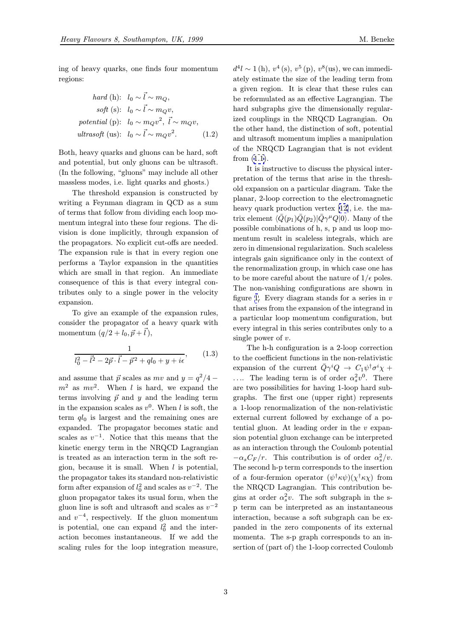$$
hard (h): \quad l_0 \sim \vec{l} \sim m_Q,
$$
  
\n
$$
soft (s): \quad l_0 \sim \vec{l} \sim m_Q v,
$$
  
\n
$$
potential (p): \quad l_0 \sim m_Q v^2, \quad \vec{l} \sim m_Q v,
$$
  
\n
$$
ultrasoft (us): \quad l_0 \sim \vec{l} \sim m_Q v^2.
$$
 (1.2)

Both, heavy quarks and gluons can be hard, soft and potential, but only gluons can be ultrasoft. (In the following, "gluons" may include all other massless modes, i.e. light quarks and ghosts.)

The threshold expansion is constructed by writing a Feynman diagram in QCD as a sum of terms that follow from dividing each loop momentum integral into these four regions. The division is done implicitly, through expansion of the propagators. No explicit cut-offs are needed. The expansion rule is that in every region one performs a Taylor expansion in the quantities which are small in that region. An immediate consequence of this is that every integral contributes only to a single power in the velocity expansion.

To give an example of the expansion rules, consider the propagator of a heavy quark with momentum  $(q/2 + l_0, \vec{p} + \vec{l}),$ 

$$
\frac{1}{l_0^2 - \vec{l}^2 - 2\vec{p} \cdot \vec{l} - \vec{p}^2 + ql_0 + y + i\epsilon},\qquad(1.3)
$$

and assume that  $\vec{p}$  scales as mv and  $y = q^2/4$  $m^2$  as  $mv^2$ . When l is hard, we expand the terms involving  $\vec{p}$  and y and the leading term in the expansion scales as  $v^0$ . When l is soft, the term  $q_{0}$  is largest and the remaining ones are expanded. The propagator becomes static and scales as  $v^{-1}$ . Notice that this means that the kinetic energy term in the NRQCD Lagrangian is treated as an interaction term in the soft region, because it is small. When  $l$  is potential, the propagator takes its standard non-relativistic form after expansion of  $l_0^2$  and scales as  $v^{-2}$ . The gluon propagator takes its usual form, when the gluon line is soft and ultrasoft and scales as  $v^{-2}$ and  $v^{-4}$ , respectively. If the gluon momentum is potential, one can expand  $l_0^2$  and the inter-<br>estimate heavens instantaneous. If we add the action becomes instantaneous. If we add the scaling rules for the loop integration measure,  $d^4l \sim 1$  (h),  $v^4$  (s),  $v^5$  (p),  $v^8$  (us), we can immediately estimate the size of the leading term from a given region. It is clear that these rules can be reformulated as an effective Lagrangian. The hard subgraphs give the dimensionally regularized couplings in the NRQCD Lagrangian. On the other hand, the distinction of soft, potential and ultrasoft momentum implies a manipulation of the NRQCD Lagrangian that is not evident from (1.1).

It is instructive to discuss the physical interpretation of the terms that arise in the threshold expansion on a particular diagram. Take the plana[r, 2-](#page-0-0)loop correction to the electromagnetic heavy quark production vertex [12], i.e. the matrix element  $\langle \overline{Q}(p_1)\overline{Q}(p_2)|\overline{Q}\gamma^{\mu}Q|0\rangle$ . Many of the possible combinations of h, s, p and us loop momentum result in scaleless integrals, which are zero in dimensional regularizatio[n.](#page-19-0) Such scaleless integrals gain significance only in the context of the renormalization group, in which case one has to be more careful about the nature of  $1/\epsilon$  poles. The non-vanishing configurations are shown in figure 1. Every diagram stands for a series in  $v$ that arises from the expansion of the integrand in a particular loop momentum configuration, but every integral in this series contributes only to a single [p](#page-3-0)ower of  $v$ .

The h-h configuration is a 2-loop correction to the coefficient functions in the non-relativistic expansion of the current  $\overline{Q}\gamma^i Q \rightarrow C_1 \psi^\dagger \sigma^i \chi +$ .... The leading term is of order  $\alpha_s^2 v^0$ . There are two possibilities for having 1-loop hard subgraphs. The first one (upper right) represents a 1-loop renormalization of the non-relativistic external current followed by exchange of a potential gluon. At leading order in the v expansion potential gluon exchange can be interpreted as an interaction through the Coulomb potential  $-\alpha_s C_F/r$ . This contribution is of order  $\alpha_s^2/v$ . The second h-p term corresponds to the insertion of a four-fermion operator  $(\psi^{\dagger} \kappa \psi)(\chi^{\dagger} \kappa \chi)$  from the NRQCD Lagrangian. This contribution begins at order  $\alpha_s^2 v$ . The soft subgraph in the sp term can be interpreted as an instantaneous interaction, because a soft subgraph can be expanded in the zero components of its external momenta. The s-p graph corresponds to an insertion of (part of) the 1-loop corrected Coulomb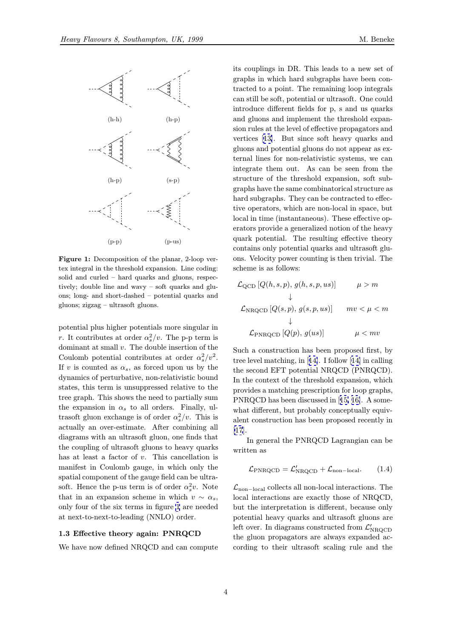<span id="page-3-0"></span>

Figure 1: Decomposition of the planar, 2-loop vertex integral in the threshold expansion. Line coding: solid and curled – hard quarks and gluons, respectively; double line and wavy – soft quarks and gluons; long- and short-dashed – potential quarks and gluons; zigzag – ultrasoft gluons.

potential plus higher potentials more singular in r. It contributes at order  $\alpha_s^2/v$ . The p-p term is dominant at small v. The double insertion of the Coulomb potential contributes at order  $\alpha_s^2/v^2$ . If v is counted as  $\alpha_s$ , as forced upon us by the dynamics of perturbative, non-relativistic bound states, this term is unsuppressed relative to the tree graph. This shows the need to partially sum the expansion in  $\alpha_s$  to all orders. Finally, ultrasoft gluon exchange is of order  $\alpha_s^2/v$ . This is actually an over-estimate. After combining all diagrams with an ultrasoft gluon, one finds that the coupling of ultrasoft gluons to heavy quarks has at least a factor of v. This cancellation is manifest in Coulomb gauge, in which only the spatial component of the gauge field can be ultrasoft. Hence the p-us term is of order  $\alpha_s^2 v$ . Note that in an expansion scheme in which  $v \sim \alpha_s$ , only four of the six terms in figure 1 are needed at next-to-next-to-leading (NNLO) order.

## 1.3 Effective theory again: PNRQCD

We have now defined NRQCD and can compute

its couplings in DR. This leads to a new set of graphs in which hard subgraphs have been contracted to a point. The remaining loop integrals can still be soft, potential or ultrasoft. One could introduce different fields for p, s and us quarks and gluons and implement the threshold expansion rules at the level of effective propagators and vertices [13]. But since soft heavy quarks and gluons and potential gluons do not appear as external lines for non-relativistic systems, we can integrate them out. As can be seen from the structure [of](#page-19-0) the threshold expansion, soft subgraphs have the same combinatorical structure as hard subgraphs. They can be contracted to effective operators, which are non-local in space, but local in time (instantaneous). These effective operators provide a generalized notion of the heavy quark potential. The resulting effective theory contains only potential quarks and ultrasoft gluons. Velocity power counting is then trivial. The scheme is as follows:

$$
\mathcal{L}_{\text{QCD}}[Q(h, s, p), g(h, s, p, us)] \qquad \mu > m
$$
  
\n
$$
\downarrow
$$
  
\n
$$
\mathcal{L}_{\text{NRQCD}}[Q(s, p), g(s, p, us)] \qquad mv < \mu < m
$$
  
\n
$$
\downarrow
$$
  
\n
$$
\mathcal{L}_{\text{PNRQCD}}[Q(p), g(us)] \qquad \mu < mv
$$

Such a construction has been proposed first, by tree level matching, in [14]. I follow [14] in calling the second EFT potential NRQCD (PNRQCD). In the context of the threshold expansion, which provides a matching prescription for loop graphs, PNRQCD has been dis[cus](#page-19-0)sed in [15, [16\]](#page-19-0). A somewhat different, but probably conceptually equivalent construction has been proposed recently in [17].

In general the PNRQCD La[grangi](#page-19-0)an can be written as

$$
\mathcal{L}_{\text{PNRQCD}} = \mathcal{L}_{\text{NRQCD}}' + \mathcal{L}_{\text{non-local}}.\tag{1.4}
$$

 $\mathcal{L}_{\text{non-local}}$  collects all non-local interactions. The local interactions are exactly those of NRQCD, but the interpretation is different, because only potential heavy quarks and ultrasoft gluons are left over. In diagrams constructed from  $\mathcal{L}'_{\text{NROCD}}$ the gluon propagators are always expanded according to their ultrasoft scaling rule and the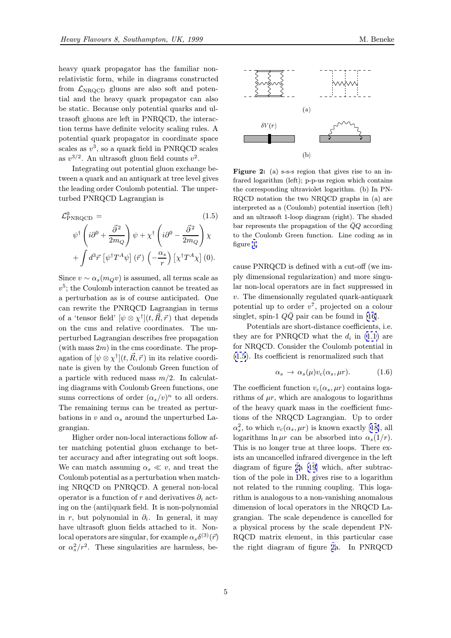<span id="page-4-0"></span>heavy quark propagator has the familiar nonrelativistic form, while in diagrams constructed from  $\mathcal{L}_{\text{NROCD}}$  gluons are also soft and potential and the heavy quark propagator can also be static. Because only potential quarks and ultrasoft gluons are left in PNRQCD, the interaction terms have definite velocity scaling rules. A potential quark propagator in coordinate space scales as  $v^3$ , so a quark field in PNRQCD scales as  $v^{3/2}$ . An ultrasoft gluon field counts  $v^2$ .

Integrating out potential gluon exchange between a quark and an antiquark at tree level gives the leading order Coulomb potential. The unperturbed PNRQCD Lagrangian is

$$
\mathcal{L}_{\text{PNRQCD}}^0 = (1.5)
$$
\n
$$
\psi^{\dagger} \left( i\partial^0 + \frac{\vec{\partial}^2}{2m_Q} \right) \psi + \chi^{\dagger} \left( i\partial^0 - \frac{\vec{\partial}^2}{2m_Q} \right) \chi
$$
\n
$$
+ \int d^3 \vec{r} \left[ \psi^{\dagger} T^A \psi \right] (\vec{r}) \left( -\frac{\alpha_s}{r} \right) \left[ \chi^{\dagger} T^A \chi \right] (0).
$$

Since  $v \sim \alpha_s(m_Q v)$  is assumed, all terms scale as  $v^5$ ; the Coulomb interaction cannot be treated as a perturbation as is of course anticipated. One can rewrite the PNRQCD Lagrangian in terms of a 'tensor field'  $[\psi \otimes \chi^{\dagger}](t, \vec{R}, \vec{r})$  that depends on the cms and relative coordinates. The unperturbed Lagrangian describes free propagation (with mass  $2m$ ) in the cms coordinate. The propagation of  $[\psi \otimes \chi^{\dagger}](t, \vec{R}, \vec{r})$  in its relative coordinate is given by the Coulomb Green function of a particle with reduced mass  $m/2$ . In calculating diagrams with Coulomb Green functions, one sums corrections of order  $(\alpha_s/v)^n$  to all orders. The remaining terms can be treated as perturbations in v and  $\alpha_s$  around the unperturbed Lagrangian.

Higher order non-local interactions follow after matching potential gluon exchange to better accuracy and after integrating out soft loops. We can match assuming  $\alpha_s \ll v$ , and treat the Coulomb potential as a perturbation when matching NRQCD on PNRQCD. A general non-local operator is a function of r and derivatives  $\partial_i$  acting on the (anti)quark field. It is non-polynomial in r, but polynomial in  $\partial_i$ . In general, it may have ultrasoft gluon fields attached to it. Nonlocal operators are singular, for example  $\alpha_s \delta^{(3)}(\vec{r})$ or  $\alpha_s^2/r^2$ . These singularities are harmless, be-



Figure 2: (a) s-s-s region that gives rise to an infrared logarithm (left); p-p-us region which contains the corresponding ultraviolet logarithm. (b) In PN-RQCD notation the two NRQCD graphs in (a) are interpreted as a (Coulomb) potential insertion (left) and an ultrasoft 1-loop diagram (right). The shaded bar represents the propagation of the  $\overline{Q}Q$  according to the Coulomb Green function. Line coding as in figure 1.

cause PNRQCD is defined with a cut-off (we imply d[im](#page-3-0)ensional regularization) and more singular non-local operators are in fact suppressed in v. The dimensionally regulated quark-antiquark potential up to order  $v^7$ , projected on a colour singlet, spin-1  $Q\bar{Q}$  pair can be found in [16].

Potentials are short-distance coefficients, i.e. they are for PNRQCD what the  $d_i$  in (1.1) are for NRQCD. Consider the Coulomb potential in (1.5). Its coefficient is renormalized such [th](#page-19-0)at

$$
\alpha_s \to \alpha_s(\mu) v_c(\alpha_s, \mu r). \tag{1.6}
$$

The coefficient function  $v_c(\alpha_s, \mu r)$  contains logarithms of  $\mu r$ , which are analogous to logarithms of the heavy quark mass in the coefficient functions of the NRQCD Lagrangian. Up to order  $\alpha_s^2$ , to which  $v_c(\alpha_s, \mu r)$  is known exactly [18], all logarithms  $\ln \mu r$  can be absorbed into  $\alpha_s(1/r)$ . This is no longer true at three loops. There exists an uncancelled infrared divergence in the left diagram of figure 2a [19] which, after s[ubt](#page-19-0)raction of the pole in DR, gives rise to a logarithm not related to the running coupling. This logarithm is analogous to a non-vanishing anomalous dimension of local ope[rat](#page-19-0)ors in the NRQCD Lagrangian. The scale dependence is cancelled for a physical process by the scale dependent PN-RQCD matrix element, in this particular case the right diagram of figure 2a. In PNRQCD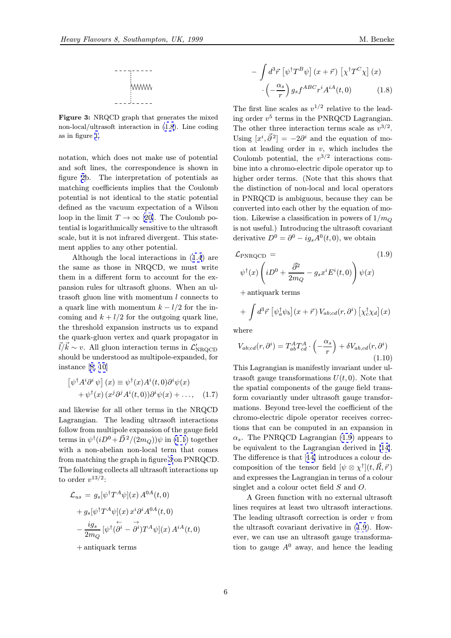

<span id="page-5-0"></span>Figure 3: NRQCD graph that generates the mixed non-local/ultrasoft interaction in (1.8). Line coding as in figure 1.

notation, which does not make use of potential and soft lines, the correspondence is shown in figure 2b. The interpretation of potentials as matching coefficients implies that the Coulomb potential is not identical to the static potential defined as the vacuum expectation of a Wilson loop i[n t](#page-4-0)he limit  $T \to \infty$  [20]. The Coulomb potential is logarithmically sensitive to the ultrasoft scale, but it is not infrared divergent. This statement applies to any other potential.

Although the local in[ter](#page-19-0)actions in (1.4) are the same as those in NRQCD, we must write them in a different form to account for the expansion rules for ultrasoft gluons. When an ultrasoft gluon line with momentum l con[nec](#page-3-0)ts to a quark line with momentum  $k - l/2$  for the incoming and  $k + l/2$  for the outgoing quark line, the threshold expansion instructs us to expand the quark-gluon vertex and quark propagator in  $\vec{l}/\vec{k} \sim v$ . All gluon interaction terms in  $\mathcal{L}_1'$ should be understood as multipole-expanded, for instance [8, 10]

$$
\left[\psi^{\dagger} A^i \partial^i \psi\right](x) \equiv \psi^{\dagger}(x) A^i(t, 0) \partial^i \psi(x) + \psi^{\dagger}(x) (x^j \partial^j A^i(t, 0)) \partial^i \psi(x) + \dots, \quad (1.7)
$$

and like[wise](#page-19-0) [fo](#page-19-0)r all other terms in the NRQCD Lagrangian. The leading ultrasoft interactions follow from multipole expansion of the gauge field terms in  $\psi^{\dagger}(iD^0+\vec{D}^2/(2m_Q))\psi$  in (1.1) together with a non-abelian non-local term that comes from matching the graph in figure 3 on PNRQCD. The following collects all ultrasoft in[tera](#page-0-0)ctions up to order  $v^{13/2}$ :

$$
\mathcal{L}_{us} = g_s[\psi^{\dagger} T^A \psi](x) A^{0A}(t,0)
$$

$$
+ g_s[\psi^{\dagger} T^A \psi](x) x^i \partial^i A^{0A}(t,0)
$$

$$
- \frac{ig_s}{2m_Q} [\psi^{\dagger} (\partial^i - \partial^i) T^A \psi](x) A^{iA}(t,0)
$$

+ antiquark terms

$$
- \int d^3 \vec{r} \left[ \psi^\dagger T^B \psi \right] (x + \vec{r}) \left[ \chi^\dagger T^C \chi \right] (x) \cdot \left( -\frac{\alpha_s}{r} \right) g_s f^{ABC} r^i A^{iA}(t, 0) \tag{1.8}
$$

The first line scales as  $v^{1/2}$  relative to the leading order  $v^5$  terms in the PNRQCD Lagrangian. The other three interaction terms scale as  $v^{3/2}$ . Using  $[x^i, \vec{\partial}^2] = -2\partial^i$  and the equation of motion at leading order in  $v$ , which includes the Coulomb potential, the  $v^{3/2}$  interactions combine into a chromo-electric dipole operator up to higher order terms. (Note that this shows that the distinction of non-local and local operators in PNRQCD is ambiguous, because they can be converted into each other by the equation of motion. Likewise a classification in powers of  $1/m<sub>O</sub>$ is not useful.) Introducing the ultrasoft covariant derivative  $D^0 = \partial^0 - ig_s A^0(t,0)$ , we obtain

$$
\mathcal{L}_{\text{PNRQCD}} = (1.9)
$$
  

$$
\psi^{\dagger}(x) \left( iD^0 + \frac{\vec{\partial}^2}{2m_Q} - g_s x^i E^i(t,0) \right) \psi(x)
$$

+ antiquark terms

$$
+ \int d^3\vec{r} \left[ \psi_a^{\dagger} \psi_b \right] (x + \vec{r}) V_{ab;cd}(r, \partial^i) \left[ \chi_c^{\dagger} \chi_d \right] (x)
$$

where

$$
V_{ab;cd}(r,\partial^i) = T_{ab}^A T_{cd}^A \cdot \left(-\frac{\alpha_s}{r}\right) + \delta V_{ab,cd}(r,\partial^i)
$$
\n(1.10)

This Lagrangian is manifestly invariant under ultrasoft gauge transformations  $U(t, 0)$ . Note that the spatial components of the gauge field transform covariantly under ultrasoft gauge transformations. Beyond tree-level the coefficient of the chromo-electric dipole operator receives corrections that can be computed in an expansion in  $\alpha_s$ . The PNRQCD Lagrangian (1.9) appears to be equivalent to the Lagrangian derived in [14]. The difference is that [14] introduces a colour decomposition of the tensor field  $[\psi \otimes \chi^{\dagger}](t, \vec{R}, \vec{r})$ and expresses the Lagrangian in terms of a co[lou](#page-19-0)r singlet and a colour octet field S and O.

A Green function [wi](#page-19-0)th no external ultrasoft lines requires at least two ultrasoft interactions. The leading ultrasoft correction is order  $v$  from the ultrasoft covariant derivative in (1.9). However, we can use an ultrasoft gauge transformation to gauge  $A^0$  away, and hence the leading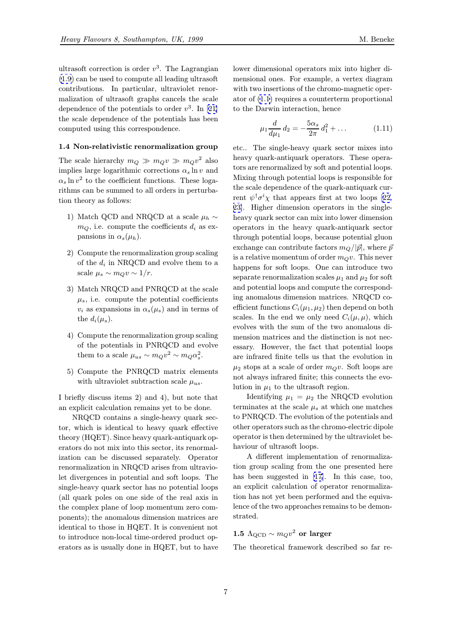<span id="page-6-0"></span>ultrasoft correction is order  $v^3$ . The Lagrangian (1.9) can be used to compute all leading ultrasoft contributions. In particular, ultraviolet renormalization of ultrasoft graphs cancels the scale dependence of the potentials to order  $v^3$ . In [21] [the](#page-5-0) scale dependence of the potentials has been computed using this correspondence.

#### 1.4 Non-relativistic renormalization gro[up](#page-19-0)

The scale hierarchy  $m_Q \gg m_Q v \gg m_Q v^2$  also implies large logarithmic corrections  $\alpha_s \ln v$  and  $\alpha_s \ln v^2$  to the coefficient functions. These logarithms can be summed to all orders in perturbation theory as follows:

- 1) Match QCD and NRQCD at a scale  $\mu_h \sim$  $m_Q$ , i.e. compute the coefficients  $d_i$  as expansions in  $\alpha_s(\mu_h)$ .
- 2) Compute the renormalization group scaling of the  $d_i$  in  ${\rm NRQCD}$  and evolve them to a scale  $\mu_s \sim m_Q v \sim 1/r$ .
- 3) Match NRQCD and PNRQCD at the scale  $\mu_s$ , i.e. compute the potential coefficients  $v_i$  as expansions in  $\alpha_s(\mu_s)$  and in terms of the  $d_i(\mu_s)$ .
- 4) Compute the renormalization group scaling of the potentials in PNRQCD and evolve them to a scale  $\mu_{us} \sim m_Q v^2 \sim m_Q \alpha_s^2$ .
- 5) Compute the PNRQCD matrix elements with ultraviolet subtraction scale  $\mu_{us}$ .

I briefly discuss items 2) and 4), but note that an explicit calculation remains yet to be done.

NRQCD contains a single-heavy quark sector, which is identical to heavy quark effective theory (HQET). Since heavy quark-antiquark operators do not mix into this sector, its renormalization can be discussed separately. Operator renormalization in NRQCD arises from ultraviolet divergences in potential and soft loops. The single-heavy quark sector has no potential loops (all quark poles on one side of the real axis in the complex plane of loop momentum zero components); the anomalous dimension matrices are identical to those in HQET. It is convenient not to introduce non-local time-ordered product operators as is usually done in HQET, but to have lower dimensional operators mix into higher dimensional ones. For example, a vertex diagram with two insertions of the chromo-magnetic operator of (1.1) requires a counterterm proportional to the Darwin interaction, hence

$$
\mu_1 \frac{d}{d\mu_1} d_2 = -\frac{5\alpha_s}{2\pi} d_1^2 + \dots \tag{1.11}
$$

etc.. The single-heavy quark sector mixes into heavy quark-antiquark operators. These operators are renormalized by soft and potential loops. Mixing through potential loops is responsible for the scale dependence of the quark-antiquark current  $\psi^{\dagger} \sigma^i \chi$  that appears first at two loops [22, 23]. Higher dimension operators in the singleheavy quark sector can mix into lower dimension operators in the heavy quark-antiquark sector through potential loops, because potential gl[uon](#page-19-0) [exc](#page-20-0)hange can contribute factors  $m_Q/|\vec{p}|$ , where  $\vec{p}$ is a relative momentum of order  $m_Qv$ . This never happens for soft loops. One can introduce two separate renormalization scales  $\mu_1$  and  $\mu_2$  for soft and potential loops and compute the corresponding anomalous dimension matrices. NRQCD coefficient functions  $C_i(\mu_1, \mu_2)$  then depend on both scales. In the end we only need  $C_i(\mu, \mu)$ , which evolves with the sum of the two anomalous dimension matrices and the distinction is not necessary. However, the fact that potential loops are infrared finite tells us that the evolution in  $\mu_2$  stops at a scale of order  $m_Qv$ . Soft loops are not always infrared finite; this connects the evolution in  $\mu_1$  to the ultrasoft region.

Identifying  $\mu_1 = \mu_2$  the NRQCD evolution terminates at the scale  $\mu_s$  at which one matches to PNRQCD. The evolution of the potentials and other operators such as the chromo-electric dipole operator is then determined by the ultraviolet behaviour of ultrasoft loops.

A different implementation of renormalization group scaling from the one presented here has been suggested in [17]. In this case, too, an explicit calculation of operator renormalization has not yet been performed and the equivalence of the two approac[hes](#page-19-0) remains to be demonstrated.

# 1.5  $\Lambda_{\text{QCD}} \sim m_Q v^2$  or larger

The theoretical framework described so far re-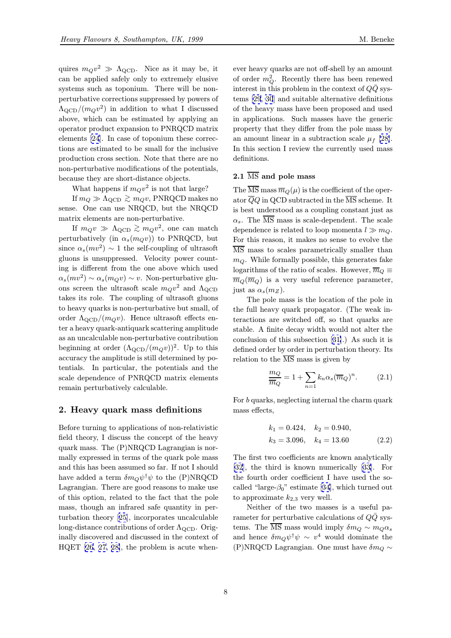<span id="page-7-0"></span>quires  $m_Qv^2 \gg \Lambda_{\text{QCD}}$ . Nice as it may be, it can be applied safely only to extremely elusive systems such as toponium. There will be nonperturbative corrections suppressed by powers of  $\Lambda_{\text{QCD}}/(m_Qv^2)$  in addition to what I discussed above, which can be estimated by applying an operator product expansion to PNRQCD matrix elements [24]. In case of toponium these corrections are estimated to be small for the inclusive production cross section. Note that there are no non-perturbative modifications of the potentials, because t[hey](#page-20-0) are short-distance objects.

What happens if  $m_Qv^2$  is not that large?

If  $m_Q \gg \Lambda_{\rm QCD} \gtrsim m_Q v$ , PNRQCD makes no sense. One can use NRQCD, but the NRQCD matrix elements are non-perturbative.

If  $m_Q v \gg \Lambda_{\text{QCD}} \gtrsim m_Q v^2$ , one can match perturbatively (in  $\alpha_s(m_Qv)$ ) to PNRQCD, but since  $\alpha_s(mv^2) \sim 1$  the self-coupling of ultrasoft gluons is unsuppressed. Velocity power counting is different from the one above which used  $\alpha_s(mv^2) \sim \alpha_s(m_Qv) \sim v$ . Non-perturbative gluons screen the ultrasoft scale  $m_Qv^2$  and  $\Lambda_{\rm QCD}$ takes its role. The coupling of ultrasoft gluons to heavy quarks is non-perturbative but small, of order  $\Lambda_{\text{QCD}}/(m_Q v)$ . Hence ultrasoft effects enter a heavy quark-antiquark scattering amplitude as an uncalculable non-perturbative contribution beginning at order  $(\Lambda_{\text{QCD}}/(m_Qv))^2$ . Up to this accuracy the amplitude is still determined by potentials. In particular, the potentials and the scale dependence of PNRQCD matrix elements remain perturbatively calculable.

# 2. Heavy quark mass definitions

Before turning to applications of non-relativistic field theory, I discuss the concept of the heavy quark mass. The (P)NRQCD Lagrangian is normally expressed in terms of the quark pole mass and this has been assumed so far. If not I should have added a term  $\delta m_Q \psi^{\dagger} \psi$  to the (P)NRQCD Lagrangian. There are good reasons to make use of this option, related to the fact that the pole mass, though an infrared safe quantity in perturbation theory [25], incorporates uncalculable long-distance contributions of order  $\Lambda_{\text{QCD}}$ . Originally discovered and discussed in the context of HQET [26, 27, 28[\],](#page-20-0) [t](#page-20-0)he problem is acute when-

ever heavy quarks are not off-shell by an amount of order  $m_Q^2$ . Recently there has been renewed interest in this problem in the context of  $Q\bar{Q}$  systems [29, 30] and suitable alternative definitions of the heavy mass have been proposed and used in applications. Such masses have the generic property that they differ from the pole mass by an a[mount l](#page-20-0)inear in a subtraction scale  $\mu_f$  [28]. In this section I review the currently used mass definitions.

# $2.1 \overline{\text{ MS}}$  and pole mass

The  $\overline{\text{MS}}$  mass  $\overline{m}_Q(\mu)$  is the coefficient of the operator  $\overline{Q}Q$  in QCD subtracted in the  $\overline{\text{MS}}$  scheme. It is best understood as a coupling constant just as  $\alpha_s$ . The  $\overline{\text{MS}}$  mass is scale-dependent. The scale dependence is related to loop momenta  $l \gg m_Q$ . For this reason, it makes no sense to evolve the MS mass to scales parametrically smaller than  $m_Q$ . While formally possible, this generates fake logarithms of the ratio of scales. However,  $\overline{m}_Q \equiv$  $\overline{m}_Q(\overline{m}_Q)$  is a very useful reference parameter, just as  $\alpha_s(m_Z)$ .

The pole mass is the location of the pole in the full heavy quark propagator. (The weak interactions are switched off, so that quarks are stable. A finite decay width would not alter the conclusion of this subsection [31].) As such it is defined order by order in perturbation theory. Its relation to the  $\overline{\text{MS}}$  mass is given by

$$
\frac{m_Q}{\overline{m}_Q} = 1 + \sum_{n=1} k_n \alpha_s (\overline{m}_Q)^n.
$$
 (2.1)

For b quarks, neglecting internal the charm quark mass effects,

$$
k_1 = 0.424, \quad k_2 = 0.940,
$$
  
\n $k_3 = 3.096, \quad k_4 = 13.60$  (2.2)

The first two coefficients are known analytically [32], the third is known numerically [33]. For the fourth order coefficient I have used the socalled "large- $\beta_0$ " estimate [34], which turned out [to](#page-20-0) [a](#page-20-0)pproximate  $k_{2,3}$  very well.

Neither of the two masses is a [usef](#page-20-0)ul parameter for perturbative calculations of  $Q\bar{Q}$  systems. The  $\overline{\text{MS}}$  mass woul[d im](#page-20-0)ply  $\delta m_Q \sim m_Q \alpha_s$ and hence  $\delta m_Q \psi^{\dagger} \psi \sim v^4$  would dominate the (P)NRQCD Lagrangian. One must have  $\delta m_Q \sim$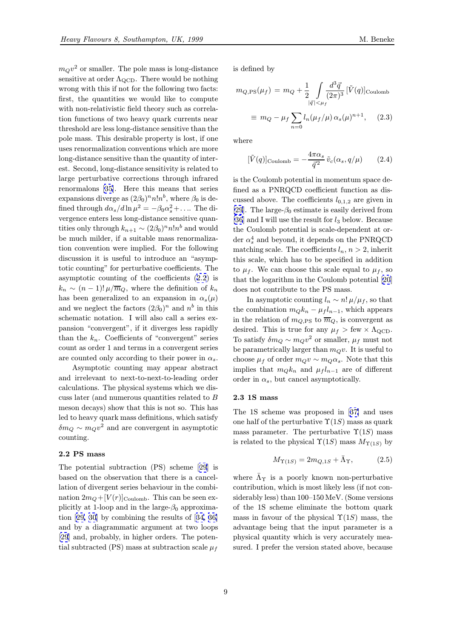$m_Qv^2$  or smaller. The pole mass is long-distance sensitive at order  $\Lambda_{\rm QCD}$ . There would be nothing wrong with this if not for the following two facts: first, the quantities we would like to compute with non-relativistic field theory such as correlation functions of two heavy quark currents near threshold are less long-distance sensitive than the pole mass. This desirable property is lost, if one uses renormalization conventions which are more long-distance sensitive than the quantity of interest. Second, long-distance sensitivity is related to large perturbative corrections through infrared renormalons [35]. Here this means that series expansions diverge as  $(2\beta_0)^n n! n^b$ , where  $\beta_0$  is defined through  $d\alpha_s/d\ln\mu^2 = -\beta_0\alpha_s^2 + \dots$  The divergence enters less long-distance sensitive quantities only thr[oug](#page-20-0)h  $k_{n+1} \sim (2\beta_0)^n n! n^b$  and would be much milder, if a suitable mass renormalization convention were implied. For the following discussion it is useful to introduce an "asymptotic counting" for perturbative coefficients. The asymptotic counting of the coefficients (2.2) is  $k_n \sim (n-1)! \mu / \overline{m}_Q$ , where the definition of  $k_n$ has been generalized to an expansion in  $\alpha_s(\mu)$ and we neglect the factors  $(2\beta_0)^n$  and  $n^b$  in this schematic notation. I will also call a ser[ies](#page-7-0) expansion "convergent", if it diverges less rapidly than the  $k_n$ . Coefficients of "convergent" series count as order 1 and terms in a convergent series are counted only according to their power in  $\alpha_s$ .

Asymptotic counting may appear abstract and irrelevant to next-to-next-to-leading order calculations. The physical systems which we discuss later (and numerous quantities related to B meson decays) show that this is not so. This has led to heavy quark mass definitions, which satisfy  $\delta m_Q \sim m_Q v^2$  and are convergent in asymptotic counting.

# 2.2 PS mass

The potential subtraction (PS) scheme [29] is based on the observation that there is a cancellation of divergent series behaviour in the combination  $2m_Q + [V(r)]_{\text{Coulomb}}$ . This can be seen explicitly at 1-loop and in the large- $\beta_0$  appr[oxim](#page-20-0)ation [29, 30] by combining the results of [34, 36] and by a diagrammatic argument at two loops [29] and, probably, in higher orders. The potential s[ubtract](#page-20-0)ed (PS) mass at subtraction s[cal](#page-20-0)e  $\mu_f$  is defined by

$$
m_{Q,PS}(\mu_f) = m_Q + \frac{1}{2} \int_{|\vec{q}| < \mu_f} \frac{d^3 \vec{q}}{(2\pi)^3} [\tilde{V}(q)]_{\text{Coulomb}}
$$
  

$$
\equiv m_Q - \mu_f \sum_{n=0} l_n (\mu_f/\mu) \alpha_s(\mu)^{n+1}, \quad (2.3)
$$

where

$$
[\tilde{V}(q)]_{\text{Coulomb}} = -\frac{4\pi\alpha_s}{\vec{q}^2} \tilde{v}_c(\alpha_s, q/\mu) \qquad (2.4)
$$

is the Coulomb potential in momentum space defined as a PNRQCD coefficient function as discussed above. The coefficients  $l_{0,1,2}$  are given in [29]. The large- $\beta_0$  estimate is easily derived from [36] and I will use the result for  $l_3$  below. Because the Coulomb potential is scale-dependent at order  $\alpha_s^4$  and beyond, it depends on the PNRQCD [ma](#page-20-0)tching scale. The coefficients  $l_n, n > 2$ , inherit [this](#page-20-0) scale, which has to be specified in addition to  $\mu_f$ . We can choose this scale equal to  $\mu_f$ , so that the logarithm in the Coulomb potential [20] does not contribute to the PS mass.

In asymptotic counting  $l_n \sim n! \mu/\mu_f$ , so that the combination  $m_Q k_n - \mu_f l_{n-1}$ , which appears in the relation of  $m_{Q,PS}$  to  $\overline{m}_Q$ , is convergen[t as](#page-19-0) desired. This is true for any  $\mu_f > \text{few} \times \Lambda_{\text{QCD}}$ . To satisfy  $\delta m_Q \sim m_Q v^2$  or smaller,  $\mu_f$  must not be parametrically larger than  $m_Qv$ . It is useful to choose  $\mu_f$  of order  $m_Qv \sim m_Q\alpha_s$ . Note that this implies that  $m_Q k_n$  and  $\mu_f l_{n-1}$  are of different order in  $\alpha_s$ , but cancel asymptotically.

#### 2.3 1S mass

The 1S scheme was proposed in [37] and uses one half of the perturbative  $\Upsilon(1S)$  mass as quark mass parameter. The perturbative  $\Upsilon(1S)$  mass is related to the physical  $\Upsilon(1S)$  ma[ss](#page-20-0)  $M_{\Upsilon(1S)}$  by

$$
M_{\Upsilon(1S)} = 2m_{Q,1S} + \bar{\Lambda}_{\Upsilon},\tag{2.5}
$$

where  $\bar{\Lambda}_{\Upsilon}$  is a poorly known non-perturbative contribution, which is most likely less (if not considerably less) than 100–150 MeV. (Some versions of the 1S scheme eliminate the bottom quark mass in favour of the physical  $\Upsilon(1S)$  mass, the advantage being that the input parameter is a physical quantity which is very accurately measured. I prefer the version stated above, because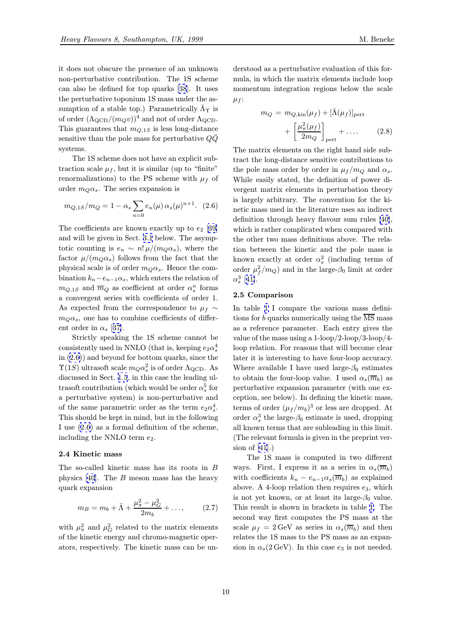it does not obscure the presence of an unknown non-perturbative contribution. The 1S scheme can also be defined for top quarks [38]. It uses the perturbative toponium 1S mass under the assumption of a stable top.) Parametrically  $\bar{\Lambda}_{\Upsilon}$  is of order  $(\Lambda_{\text{QCD}}/(m_Q v))^4$  and not of order  $\Lambda_{\text{QCD}}$ . This guarantees that  $m_{Q,1S}$  is less l[ong](#page-20-0)-distance sensitive than the pole mass for perturbative  $Q\overline{Q}$ systems.

The 1S scheme does not have an explicit subtraction scale  $\mu_f$ , but it is similar (up to "finite" renormalizations) to the PS scheme with  $\mu_f$  of order  $m_Q \alpha_s$ . The series expansion is

$$
m_{Q,1S}/m_Q = 1 - \alpha_s \sum_{n=0} e_n(\mu) \alpha_s(\mu)^{n+1}.
$$
 (2.6)

The coefficients are known exactly up to  $e_2$  [39] and will be given in Sect. 3.1 below. The asymptotic counting is  $e_n \sim n! \mu/(m_Q \alpha_s)$ , where the factor  $\mu/(m_Q\alpha_s)$  follows from the fact that the physical scale is of order  $m_Q \alpha_s$ . Hence the c[om](#page-20-0)bination  $k_n - e_{n-1} \alpha_s$ , whi[ch e](#page-11-0)nters the relation of  $m_{Q,1S}$  and  $\overline{m}_Q$  as coefficient at order  $\alpha_s^n$  forms a convergent series with coefficients of order 1. As expected from the correspondence to  $\mu_f \sim$  $m_Q\alpha_s$ , one has to combine coefficients of different order in  $\alpha_s$  [37].

Strictly speaking the 1S scheme cannot be consistently used in NNLO (that is, keeping  $e_2 \alpha_s^4$ ) in (2.6)) and beyond for bottom quarks, since the  $\Upsilon(1S)$  ultrasoft [sca](#page-20-0)le  $m_Q \alpha_s^2$  is of order  $\Lambda_{\text{QCD}}$ . As discussed in Sect. 1.5, in this case the leading ultrasoft contribution (which would be order  $\alpha_s^5$  for a perturbative system) is non-perturbative and of the same parametric order as the term  $e_2\alpha_s^4$ . This should be ke[pt in](#page-6-0) mind, but in the following I use (2.6) as a formal definition of the scheme, including the NNLO term  $e_2$ .

#### 2.4 Kinetic mass

The so-called kinetic mass has its roots in B physics  $[40]$ . The B meson mass has the heavy quark expansion

$$
m_B = m_b + \bar{\Lambda} + \frac{\mu_{\pi}^2 - \mu_G^2}{2m_b} + \dots,\tag{2.7}
$$

with  $\mu_{\pi}^2$  and  $\mu_G^2$  related to the matrix elements of the kinetic energy and chromo-magnetic operators, respectively. The kinetic mass can be un-

derstood as a perturbative evaluation of this formula, in which the matrix elements include loop momentum integration regions below the scale  $\mu_f$ :

$$
m_Q = m_{Q,kin}(\mu_f) + [\bar{\Lambda}(\mu_f)]_{\text{pert}}
$$

$$
+ \left[\frac{\mu_{\pi}^2(\mu_f)}{2m_Q}\right]_{\text{pert}} + \dots \qquad (2.8)
$$

The matrix elements on the right hand side subtract the long-distance sensitive contributions to the pole mass order by order in  $\mu_f/m_Q$  and  $\alpha_s$ . While easily stated, the definition of power divergent matrix elements in perturbation theory is largely arbitrary. The convention for the kinetic mass used in the literature uses an indirect definition through heavy flavour sum rules [40], which is rather complicated when compared with the other two mass definitions above. The relation between the kinetic and the pole mass is known exactly at order  $\alpha_s^2$  (including term[s o](#page-20-0)f order  $\mu_f^2/m_Q$ ) and in the large- $\beta_0$  limit at order  $\alpha_s^3$  [41].

## 2.5 Comparison

In table 1 I compare the various mass definition[s fo](#page-20-0)r b quarks numerically using the  $\overline{\text{MS}}$  mass as a reference parameter. Each entry gives the value of the mass using a 1-loop/2-loop/3-loop/4 loop rela[tio](#page-10-0)n. For reasons that will become clear later it is interesting to have four-loop accuracy. Where available I have used large- $\beta_0$  estimates to obtain the four-loop value. I used  $\alpha_s(\overline{m}_b)$  as perturbative expansion parameter (with one exception, see below). In defining the kinetic mass, terms of order  $(\mu_f/m_b)^3$  or less are dropped. At order  $\alpha_s^3$  the large- $\beta_0$  estimate is used, dropping all known terms that are subleading in this limit. (The relevant formula is given in the preprint version of  $[41]$ .)

The 1S mass is computed in two different ways. First, I express it as a series in  $\alpha_s(\overline{m}_b)$ with coefficients  $k_n - e_{n-1} \alpha_s(\overline{m}_b)$  as explained above. [A 4](#page-20-0)-loop relation then requires  $e_3$ , which is not yet known, or at least its large- $\beta_0$  value. This result is shown in brackets in table 1. The second way first computes the PS mass at the scale  $\mu_f = 2 \,\text{GeV}$  as series in  $\alpha_s(\overline{m}_b)$  and then relates the 1S mass to the PS mass as an expansion in  $\alpha_s(2 \text{ GeV})$ . In this case  $e_3$  is not [ne](#page-10-0)eded.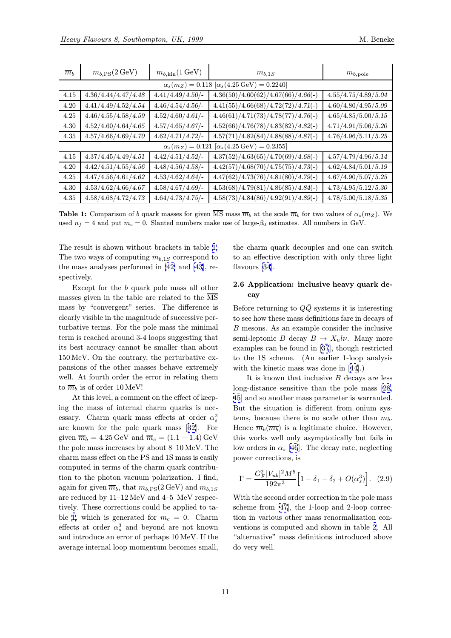<span id="page-10-0"></span>

| $\overline{m}_h$                                                  | $m_{b,\rm PS}(2\,\text{GeV})$ | $m_{b,kin}(1 \,\text{GeV})$ | $m_{b,1S}$                           | $m_{b,\rm pole}$                 |  |  |  |
|-------------------------------------------------------------------|-------------------------------|-----------------------------|--------------------------------------|----------------------------------|--|--|--|
| $\alpha_s(m_Z) = 0.118 \; [\alpha_s(4.25 \,\text{GeV}) = 0.2240]$ |                               |                             |                                      |                                  |  |  |  |
| 4.15                                                              | 4.36/4.44/4.47/4.48           | $4.41/4.49/4.50/$ -         | $4.36(50)/4.60(62)/4.67(66)/4.66(-)$ | 4.55/4.75/4.89/5.04              |  |  |  |
| 4.20                                                              | 4.41/4.49/4.52/4.54           | $4.46/4.54/4.56/$ -         | $4.41(55)/4.66(68)/4.72(72)/4.71(-)$ | 4.60/4.80/4.95/5.09              |  |  |  |
| 4.25                                                              | 4.46/4.55/4.58/4.59           | 4.52/4.60/4.61/             | $4.46(61)/4.71(73)/4.78(77)/4.76(-)$ | 4.65/4.85/5.00/5.15              |  |  |  |
| 4.30                                                              | 4.52/4.60/4.64/4.65           | $4.57/4.65/4.67/$ -         | $4.52(66)/4.76(78)/4.83(82)/4.82(-)$ | $\overline{4.71}/4.91/5.06/5.20$ |  |  |  |
| 4.35                                                              | 4.57/4.66/4.69/4.70           | 4.62/4.71/4.72/             | $4.57(71)/4.82(84)/4.88(88)/4.87(-)$ | 4.76/4.96/5.11/5.25              |  |  |  |
| $\alpha_s(m_Z) = 0.121 \; [\alpha_s(4.25 \,\text{GeV}) = 0.2355]$ |                               |                             |                                      |                                  |  |  |  |
| 4.15                                                              | 4.37/4.45/4.49/4.51           | 4.42/4.51/4.52/             | $4.37(52)/4.63(65)/4.70(69)/4.68(-)$ | 4.57/4.79/4.96/5.14              |  |  |  |
| 4.20                                                              | 4.42/4.51/4.55/4.56           | 4.48/4.56/4.58/             | $4.42(57)/4.68(70)/4.75(75)/4.73(-)$ | 4.62/4.84/5.01/5.19              |  |  |  |
| 4.25                                                              | 4.47/4.56/4.61/4.62           | 4.53/4.62/4.64/             | $4.47(62)/4.73(76)/4.81(80)/4.79(-)$ | 4.67/4.90/5.07/5.25              |  |  |  |
| 4.30                                                              | 4.53/4.62/4.66/4.67           | $4.58/4.67/4.69/$ -         | $4.53(68)/4.79(81)/4.86(85)/4.84(-)$ | 4.73/4.95/5.12/5.30              |  |  |  |
| 4.35                                                              | 4.58/4.68/4.72/4.73           | 4.64/4.73/4.75/             | $4.58(73)/4.84(86)/4.92(91)/4.89(-)$ | 4.78/5.00/5.18/5.35              |  |  |  |

**Table 1:** Comparison of b quark masses for given  $\overline{\text{MS}}$  mass  $\overline{m}_b$  at the scale  $\overline{m}_b$  for two values of  $\alpha_s(m_Z)$ . We used  $n_f = 4$  and put  $m_c = 0$ . Slanted numbers make use of large- $\beta_0$  estimates. All numbers in GeV.

The result is shown without brackets in table 1. The two ways of computing  $m_{b,1S}$  correspond to the mass analyses performed in [42] and [43], respectively.

Except for the b quark pole mass all other masses given in the table are related to the MS mass by "convergent" series. [The](#page-20-0) diffe[ren](#page-20-0)ce is clearly visible in the magnitude of successive perturbative terms. For the pole mass the minimal term is reached around 3-4 loops suggesting that its best accuracy cannot be smaller than about 150 MeV. On the contrary, the perturbative expansions of the other masses behave extremely well. At fourth order the error in relating them to  $\overline{m}_b$  is of order 10 MeV!

At this level, a comment on the effect of keeping the mass of internal charm quarks is necessary. Charm quark mass effects at order  $\alpha_s^2$ are known for the pole quark mass [32]. For given  $\overline{m}_b = 4.25 \,\text{GeV}$  and  $\overline{m}_c = (1.1 - 1.4) \,\text{GeV}$ the pole mass increases by about 8–10 MeV. The charm mass effect on the PS and 1S mass is easily computed in terms of the charm quark [con](#page-20-0)tribution to the photon vacuum polarization. I find, again for given  $\overline{m}_b$ , that  $m_{b,PS}(2 \,\text{GeV})$  and  $m_{b,1S}$ are reduced by 11–12 MeV and 4–5 MeV respectively. These corrections could be applied to table 1, which is generated for  $m_c = 0$ . Charm effects at order  $\alpha_s^3$  and beyond are not known and introduce an error of perhaps 10 MeV. If the average internal loop momentum becomes small,

the charm quark decouples and one can switch to an effective description with only three light flavours [34].

# 2.6 Application: inclusive heavy quark decay

Before r[etur](#page-20-0)ning to  $Q\bar{Q}$  systems it is interesting to see how these mass definitions fare in decays of B mesons. As an example consider the inclusive semi-leptonic B decay  $B \to X_u l \nu$ . Many more examples can be found in [37], though restricted to the 1S scheme. (An earlier 1-loop analysis with the kinetic mass was done in [44].)

It is known that inclusive  $B$  decays are less long-distance sensitive th[an](#page-20-0) the pole mass [28, 45] and so another mass parameter is warranted. But the situation is different fro[m o](#page-20-0)nium systems, because there is no scale other than  $m_b$ . Hence  $\overline{m}_b(\overline{m}_b)$  $\overline{m}_b(\overline{m}_b)$  $\overline{m}_b(\overline{m}_b)$  is a legitimate choice. However, [thi](#page-20-0)s works well only asymptotically but fails in low orders in  $\alpha_s$  [46]. The decay rate, neglecting power corrections, is

$$
\Gamma = \frac{G_F^2 |V_{ub}|^2 M^5}{192\pi^3} \left[1 - \delta_1 - \delta_2 + O(\alpha_s^3)\right].
$$
 (2.9)

With the second order correction in the pole mass scheme from [47], the 1-loop and 2-loop correction in various other mass renormalization conventions is computed and shown in table 2. All "alternative" [ma](#page-20-0)ss definitions introduced above do very well.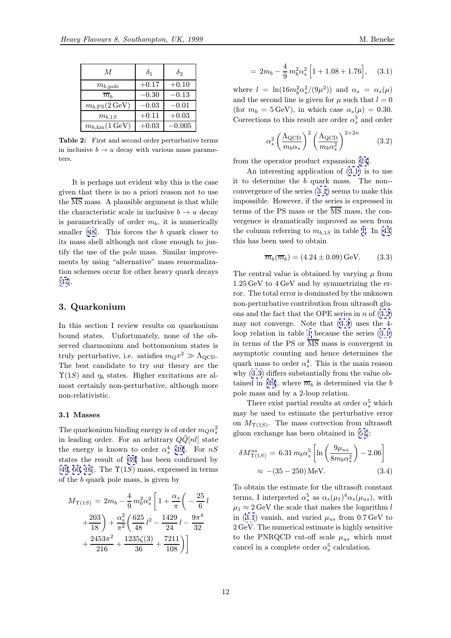<span id="page-11-0"></span>

| M                            | $\delta_1$ | $\delta_2$ |
|------------------------------|------------|------------|
| $m_{b,\rm pole}$             | $+0.17$    | $+0.10$    |
| $\overline{m}_h$             | $-0.30$    | $-0.13$    |
| $m_{b,\rm PS}(2\,{\rm GeV})$ | $-0.03\,$  | $-0.01$    |
| $m_{b,1S}$                   | $+0.11$    | $+0.03$    |
| $m_{b,kin}(1 \,\text{GeV})$  | $+0.03$    | $-0.005\,$ |

Table 2: First and second order perturbative terms in inclusive  $b \to u$  decay with various mass parameters.

It is perhaps not evident why this is the case given that there is no a priori reason not to use the  $\overline{\text{MS}}$  mass. A plausible argument is that while the characteristic scale in inclusive  $b \to u$  decay is parametrically of order  $m_b$ , it is numerically smaller  $[48]$ . This forces the b quark closer to its mass shell although not close enough to justify the use of the pole mass. Similar improvements by using "alternative" mass renormalization sche[me](#page-20-0)s occur for other heavy quark decays [37].

# 3. Quarkonium

[In](#page-20-0) this section I review results on quarkonium bound states. Unfortunately, none of the observed charmonium and bottomonium states is truly perturbative, i.e. satisfies  $m_Qv^2 \gg \Lambda_{\text{QCD}}$ . The best candidate to try our theory are the  $\Upsilon(1S)$  and  $\eta_b$  states. Higher excitations are almost certainly non-perturbative, although more non-relativistic.

#### 3.1 Masses

The quarkonium binding energy is of order  $m_Q \alpha_s^2$ in leading order. For an arbitrary  $Q\bar{Q}[nl]$  state the energy is known to order  $\alpha_s^4$  [39]. For  $nS$ states the result of [39] has been confirmed by [49, 50, 16]. The  $\Upsilon(1S)$  mass, expressed in terms of the b quark pole mass, is given b[y](#page-20-0)

$$
M_{\Upsilon(1S)} = 2m_b - \frac{4}{9} m_b^2 \alpha_s^2 \left[ 1 + \frac{\alpha_s}{\pi} \left( -\frac{25}{6} l + \frac{203}{18} \right) + \frac{\alpha_s^2}{\pi^2} \left( \frac{625}{48} l^2 - \frac{1429}{24} l - \frac{9\pi^4}{32} + \frac{2453\pi^2}{216} + \frac{1235\zeta(3)}{36} + \frac{7211}{108} \right) \right]
$$

$$
= 2m_b - \frac{4}{9}m_b^2\alpha_s^2 \left[1 + 1.08 + 1.76\right], \quad (3.1)
$$

where  $l = \ln(16m_b^2\alpha_s^2/(9\mu^2))$  and  $\alpha_s = \alpha_s(\mu)$ and the second line is given for  $\mu$  such that  $l = 0$ (for  $m_b = 5 \,\text{GeV}$ ), in which case  $\alpha_s(\mu) = 0.30$ . Corrections to this result are order  $\alpha_s^5$  and order

$$
\alpha_s^2 \left(\frac{\Lambda_{\text{QCD}}}{m_b \alpha_s}\right)^2 \left(\frac{\Lambda_{\text{QCD}}}{m_b \alpha_s^2}\right)^{2+2n} \tag{3.2}
$$

from the operator product expansion [24].

An interesting application of (3.1) is to use it to determine the b quark mass. The non- convergence of the series (3.1) seems to make this impossible. However, if the series is ex[pre](#page-20-0)ssed in terms of the PS mass or the  $\overline{\text{MS}}$  mass, the convergence is dramatically improved as seen from the column referring to  $m_{b,1S}$  in table 1. In [43] this has been used to obtain

$$
\overline{m}_b(\overline{m}_b) = (4.24 \pm 0.09) \,\text{GeV}.
$$
 (3.3)

The central value is obtained by varyi[ng](#page-10-0)  $\mu$  fr[om](#page-20-0) 1.25 GeV to 4 GeV and by symmetrizing the error. The total error is dominated by the unknown non-perturbative contribution from ultrasoft gluons and the fact that the OPE series in  $n$  of  $(3.2)$ may not converge. Note that (3.3) uses the 4 loop relation in table 1 because the series (3.1) in terms of the PS or  $\overline{\text{MS}}$  mass is convergent in asymptotic counting and hence determines the quark mass to order  $\alpha_s^4$ . This is the main reason why (3.3) differs subst[an](#page-10-0)tially from the value obtained in [39], where  $\overline{m}_b$  is determined via the b pole mass and by a 2-loop relation.

There exist partial results at order  $\alpha_s^5$  which may be used to estimate the perturbative error on  $M_{\Upsilon(1S)}$ [.](#page-20-0) The mass correction from ultrasoft gluon exchange has been obtained in [51]:

$$
\delta M_{\Upsilon(1S)}^{us} = 6.31 m_b \alpha_s^5 \left[ \ln \left( \frac{9\mu_{us}}{8m_b \alpha_s^2} \right) - 2.06 \right]
$$
  

$$
\approx -(35 - 250) \,\text{MeV}.
$$
 (3.4)

To obtain the estimate for the ultrasoft constant terms, I interpreted  $\alpha_s^5$  as  $\alpha_s(\mu_1)^4 \alpha_s(\mu_{us})$ , with  $\mu_1 \approx 2 \,\text{GeV}$  the scale that makes the logarithm l in (3.1) vanish, and varied  $\mu_{us}$  from 0.7 GeV to 2 GeV. The numerical estimate is highly sensitive to the PNRQCD cut-off scale  $\mu_{us}$  which must cancel in a complete order  $\alpha_s^5$  calculation.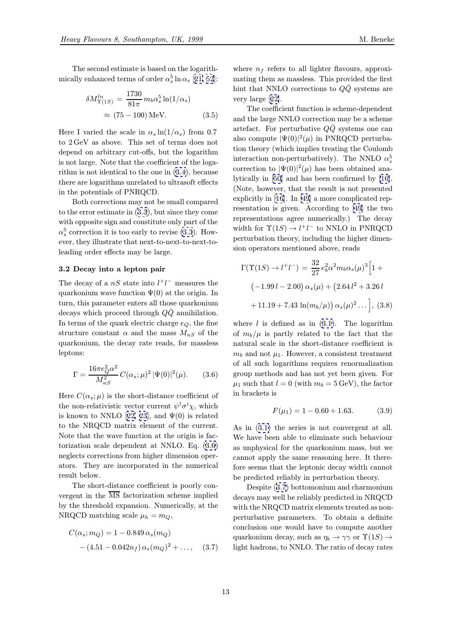<span id="page-12-0"></span>The second estimate is based on the logarithmically enhanced terms of order  $\alpha_s^5 \ln \alpha_s$  [21, 52]:

$$
\delta M_{\Upsilon(1S)}^{ln} = \frac{1730}{81\pi} m_b \alpha_s^5 \ln(1/\alpha_s)
$$
  

$$
\approx (75 - 100) \text{ MeV}.
$$
 (3.5)

Here I varied the scale in  $\alpha_s \ln(1/\alpha_s)$  from 0.7 to 2 GeV as above. This set of terms does not depend on arbitrary cut-offs, but the logarithm is not large. Note that the coefficient of the logarithm is not identical to the one in (3.4), because there are logarithms unrelated to ultrasoft effects in the potentials of PNRQCD.

Both corrections may not be small compared to the error estimate in (3.3), but si[nce t](#page-11-0)hey come with opposite sign and constitute only part of the  $\alpha_s^5$  correction it is too early to revise (3.3). However, they illustrate that next-to-next-to-next-toleading order effects ma[y b](#page-11-0)e large.

#### 3.2 Decay into a lepton pair

The decay of a  $nS$  state into  $l^+l^-$  measures the quarkonium wave function  $\Psi(0)$  at the origin. In turn, this parameter enters all those quarkonium decays which proceed through  $Q\bar{Q}$  annihilation. In terms of the quark electric charge  $e_Q$ , the fine structure constant  $\alpha$  and the mass  $M_{nS}$  of the quarkonium, the decay rate reads, for massless leptons:

$$
\Gamma = \frac{16\pi e_Q^2 \alpha^2}{M_{nS}^2} C(\alpha_s; \mu)^2 |\Psi(0)|^2(\mu). \tag{3.6}
$$

Here  $C(\alpha_s; \mu)$  is the short-distance coefficient of the non-relativistic vector current  $\psi^{\dagger} \sigma^i \chi$ , which is known to NNLO [22, 23], and  $\Psi(0)$  is related to the NRQCD matrix element of the current. Note that the wave function at the origin is factorization scale dependent at NNLO. Eq. (3.6) neglects corrections [fro](#page-19-0)[m hi](#page-20-0)gher dimension operators. They are incorporated in the numerical result below.

The short-distance coefficient is poorly convergent in the  $\overline{\text{MS}}$  factorization scheme implied by the threshold expansion. Numerically, at the NRQCD matching scale  $\mu_h = m_Q$ ,

$$
C(\alpha_s; m_Q) = 1 - 0.849 \alpha_s(m_Q)
$$
  
-(4.51 - 0.042n<sub>f</sub>)  $\alpha_s(m_Q)^2 + \dots$ , (3.7)

where  $n_f$  refers to all lighter flavours, approximating them as massless. This provided the first hint that NNLO corrections to  $Q\overline{Q}$  systems are very large [22].

The coefficient function is scheme-dependent and the large NNLO correction may be a scheme artefact. For perturbative  $Q\bar{Q}$  systems one can also compu[te](#page-19-0)  $|\Psi(0)|^2(\mu)$  in PNRQCD perturbation theory (which implies treating the Coulomb interaction non-perturbatively). The NNLO  $\alpha_s^5$ correction to  $|\Psi(0)|^2(\mu)$  has been obtained analytically in [50] and has been confirmed by [16]. (Note, however, that the result is not presented explicitly in [16]. In [49] a more complicated representation is given. According to [49] the two representati[ons](#page-20-0) agree numerically.) The d[ecay](#page-19-0) width for  $\Upsilon(1S) \to l^+l^-$  to NNLO in PNRQCD perturbation [th](#page-19-0)eory, [inc](#page-20-0)luding the higher dimension operators mentioned above, rea[ds](#page-20-0)

$$
\Gamma(\Upsilon(1S) \to l^+l^-) = \frac{32}{27} e_b^2 \alpha^2 m_b \alpha_s(\mu)^3 \Big[ 1 +
$$
  

$$
(-1.99 l - 2.00) \alpha_s(\mu) + (2.64 l^2 + 3.26 l
$$
  

$$
+ 11.19 + 7.43 \ln(m_b/\mu)) \alpha_s(\mu)^2 \dots \Big], (3.8)
$$

where  $l$  is defined as in  $(3.1)$ . The logarithm of  $m_b/\mu$  is partly related to the fact that the natural scale in the short-distance coefficient is  $m_b$  and not  $\mu_1$ . However, a consistent treatment of all such logarithms req[uire](#page-11-0)s renormalization group methods and has not yet been given. For  $\mu_1$  such that  $l = 0$  (with  $m_b = 5 \,\text{GeV}$ ), the factor in brackets is

$$
F(\mu_1) = 1 - 0.60 + 1.63. \tag{3.9}
$$

As in (3.1) the series is not convergent at all. We have been able to eliminate such behaviour as unphysical for the quarkonium mass, but we cannot apply the same reasoning here. It therefore see[ms](#page-11-0) that the leptonic decay width cannot be predicted reliably in perturbation theory.

Despite (3.7) bottomonium and charmonium decays may well be reliably predicted in NRQCD with the NRQCD matrix elements treated as nonperturbative parameters. To obtain a definite conclusion one would have to compute another quarkonium decay, such as  $\eta_b \to \gamma \gamma$  or  $\Upsilon(1S) \to$ light hadrons, to NNLO. The ratio of decay rates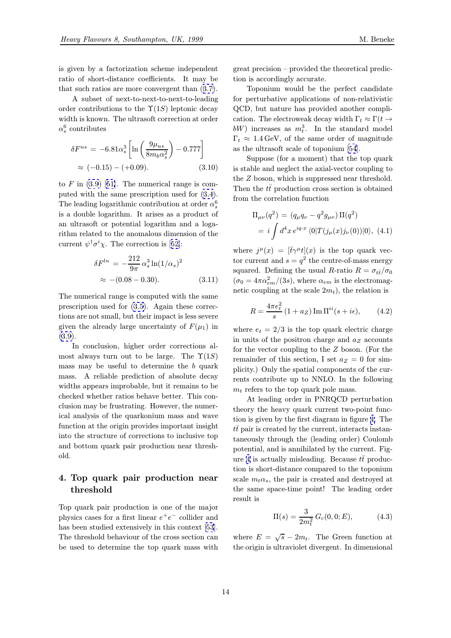<span id="page-13-0"></span>is given by a factorization scheme independent ratio of short-distance coefficients. It may be that such ratios are more convergent than (3.7).

A subset of next-to-next-to-next-to-leading order contributions to the  $\Upsilon(1S)$  leptonic decay width is known. The ultrasoft correction at [orde](#page-12-0)r  $\alpha_s^6$  contributes

$$
\delta F^{us} = -6.81 \alpha_s^3 \left[ \ln \left( \frac{9 \mu_{us}}{8 m_b \alpha_s^2} \right) - 0.777 \right] \approx (-0.15) - (+0.09). \tag{3.10}
$$

to  $F$  in  $(3.9)$  [51]. The numerical range is computed with the same prescription used for (3.4). The leading logarithmic contribution at order  $\alpha_s^6$ is a double logarithm. It arises as a product of an ultra[soft](#page-12-0) o[r p](#page-20-0)otential logarithm and a logarithm related to the anomalous dimension o[f th](#page-11-0)e current  $\psi^{\dagger} \sigma^i \chi$ . The correction is [52]:

$$
\delta F^{ln} = -\frac{212}{9\pi} \alpha_s^3 \ln(1/\alpha_s)^2
$$
  

$$
\approx -(0.08 - 0.30).
$$
 (3.11)

The numerical range is computed with the same prescription used for (3.5). Again these corrections are not small, but their impact is less severe given the already large uncertainty of  $F(\mu_1)$  in (3.9).

In conclusion, hi[gher](#page-12-0) order corrections almost always turn out to be large. The  $\Upsilon(1S)$ mass may be useful to determine the  $b$  quark [mas](#page-12-0)s. A reliable prediction of absolute decay widths appears improbable, but it remains to be checked whether ratios behave better. This conclusion may be frustrating. However, the numerical analysis of the quarkonium mass and wave function at the origin provides important insight into the structure of corrections to inclusive top and bottom quark pair production near threshold.

# 4. Top quark pair production near threshold

Top quark pair production is one of the major physics cases for a first linear  $e^+e^-$  collider and has been studied extensively in this context [53]. The threshold behaviour of the cross section can be used to determine the top quark mass with great precision – provided the theoretical prediction is accordingly accurate.

Toponium would be the perfect candidate for perturbative applications of non-relativistic QCD, but nature has provided another complication. The electroweak decay width  $\Gamma_t \approx \Gamma(t \to$  $bW$ ) increases as  $m_t^3$ . In the standard model  $\Gamma_t \approx 1.4 \,\text{GeV}$ , of the same order of magnitude as the ultrasoft scale of toponium [54].

Suppose (for a moment) that the top quark is stable and neglect the axial-vector coupling to the Z boson, which is suppressed near threshold. Then the  $t\bar{t}$  producti[on](#page-20-0) cross section is obtained from the correlation function

$$
\Pi_{\mu\nu}(q^2) = (q_{\mu}q_{\nu} - q^2 g_{\mu\nu}) \Pi(q^2)
$$
  
=  $i \int d^4 x e^{iq \cdot x} \langle 0|T(j_{\mu}(x)j_{\nu}(0))|0\rangle$ , (4.1)

where  $j^{\mu}(x)=[\bar{t}\gamma^{\mu}t](x)$  is the top quark vector current and  $s = q^2$  the centre-of-mass energy squared. Defining the usual R-ratio  $R = \sigma_{t\bar{t}}/\sigma_0$  $(\sigma_0 = 4\pi\alpha_{em}^2/(3s))$ , where  $\alpha_{em}$  is the electromagnetic coupling at the scale  $2m_t$ , the relation is

$$
R = \frac{4\pi e_t^2}{s} \left( 1 + a_Z \right) \operatorname{Im} \Pi^{ii}(s + i\epsilon), \tag{4.2}
$$

where  $e_t = 2/3$  is the top quark electric charge in units of the positron charge and  $a_Z$  accounts for the vector coupling to the Z boson. (For the remainder of this section, I set  $a_Z = 0$  for simplicity.) Only the spatial components of the currents contribute up to NNLO. In the following  $m_t$  refers to the top quark pole mass.

At leading order in PNRQCD perturbation theory the heavy quark current two-point function is given by the first diagram in figure 4. The  $t\bar{t}$  pair is created by the current, interacts instantaneously through the (leading order) Coulomb potential, and is annihilated by the current. Figure 4 is actually misleading. Because  $t\bar{t}$  [pro](#page-14-0)duction is short-distance compared to the toponium scale  $m_t \alpha_s$ , the pair is created and destroyed at the same space-time point! The leading order res[ult](#page-14-0) is

$$
\Pi(s) = \frac{3}{2m_t^2} G_c(0, 0; E), \tag{4.3}
$$

where  $E = \sqrt{s} - 2m_t$ . The Green function at the origin is ultraviolet divergent. In dimensional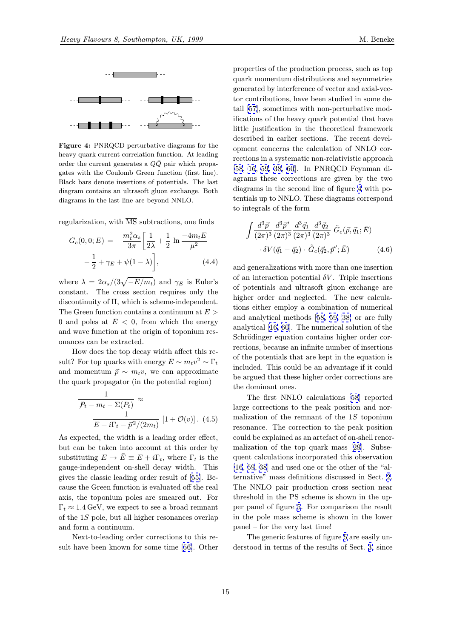<span id="page-14-0"></span>

Figure 4: PNRQCD perturbative diagrams for the heavy quark current correlation function. At leading order the current generates a  $Q\bar{Q}$  pair which propagates with the Coulomb Green function (first line). Black bars denote insertions of potentials. The last diagram contains an ultrasoft gluon exchange. Both diagrams in the last line are beyond NNLO.

regularization, with  $\overline{\text{MS}}$  subtractions, one finds

$$
G_c(0,0;E) = -\frac{m_t^2 \alpha_s}{3\pi} \left[ \frac{1}{2\lambda} + \frac{1}{2} \ln \frac{-4m_t E}{\mu^2} - \frac{1}{2} + \gamma_E + \psi(1 - \lambda) \right],
$$
 (4.4)

where  $\lambda = 2\alpha_s/(3\sqrt{-E/m_t})$  and  $\gamma_E$  is Euler's constant. The cross section requires only the discontinuity of Π, which is scheme-independent. The Green function contains a continuum at  $E >$ 0 and poles at  $E < 0$ , from which the energy and wave function at the origin of toponium resonances can be extracted.

How does the top decay width affect this result? For top quarks with energy  $E \sim m_t v^2 \sim \Gamma_t$ and momentum  $\vec{p} \sim m_t v$ , we can approximate the quark propagator (in the potential region)

$$
\frac{1}{P_t - m_t - \Sigma(P_t)} \approx
$$
  

$$
\frac{1}{E + i\Gamma_t - \vec{p}^2/(2m_t)} [1 + \mathcal{O}(v)].
$$
 (4.5)

As expected, the width is a leading order effect, but can be taken into account at this order by substituting  $E \to \overline{E} \equiv E + i\Gamma_t$ , where  $\Gamma_t$  is the gauge-independent on-shell decay width. This gives the classic leading order result of [55]. Because the Green function is evaluated off the real axis, the toponium poles are smeared out. For  $\Gamma_t \approx 1.4 \,\text{GeV}$ , we expect to see a broad remnant of the 1S pole, but all higher resonance[s ov](#page-20-0)erlap and form a continuum.

Next-to-leading order corrections to this result have been known for some time [56]. Other

properties of the production process, such as top quark momentum distributions and asymmetries generated by interference of vector and axial-vector contributions, have been studied in some detail [57], sometimes with non-perturbative modifications of the heavy quark potential that have little justification in the theoretical framework described in earlier sections. The recent developm[ent](#page-20-0) concerns the calculation of NNLO corrections in a systematic non-relativistic approach [58, 16, 59, 38, 60]. In PNRQCD Feynman diagrams these corrections are given by the two diagrams in the second line of figure 4 with potentials up to NNLO. These diagrams correspond [to i](#page-21-0)[nteg](#page-19-0)[rals](#page-21-0) [of](#page-20-0) t[he](#page-21-0) form

$$
\int \frac{d^3 \vec{p}}{(2\pi)^3} \frac{d^3 \vec{p}'}{(2\pi)^3} \frac{d^3 \vec{q}_1}{(2\pi)^3} \frac{d^3 \vec{q}_2}{(2\pi)^3} \tilde{G}_c(\vec{p}, \vec{q}_1; \vec{E})
$$

$$
\cdot \delta V(\vec{q}_1 - \vec{q}_2) \cdot \tilde{G}_c(\vec{q}_2, \vec{p}'; \vec{E}) \tag{4.6}
$$

and generalizations with more than one insertion of an interaction potential  $\delta V$ . Triple insertions of potentials and ultrasoft gluon exchange are higher order and neglected. The new calculations either employ a combination of numerical and analytical methods [58, 59, 38] or are fully analytical [16, 60]. The numerical solution of the Schrödinger equation contains higher order corrections, because an infinite number of insertions of the potentials that are [ke](#page-21-0)p[t in](#page-21-0) [th](#page-20-0)e equation is included. [Thi](#page-19-0)s [co](#page-21-0)uld be an advantage if it could be argued that these higher order corrections are the dominant ones.

The first NNLO calculations [58] reported large corrections to the peak position and normalization of the remnant of the  $1S$  toponium resonance. The correction to the peak position could be explained as an artefact of [on-s](#page-21-0)hell renormalization of the top quark mass [29]. Subsequent calculations incorporated this observation [16, 59, 38] and used one or the other of the "alternative" mass definitions discussed in Sect. 2. The NNLO pair production cross [sec](#page-20-0)tion near threshold in the PS scheme is shown in the up[per](#page-19-0) [pan](#page-21-0)[el](#page-20-0) of figure 5. For comparison the result in the pole mass scheme is shown in the low[er](#page-7-0) panel – for the very last time!

The generic features of figure 5 are easily understood in terms [of](#page-15-0) the results of Sect. 3, since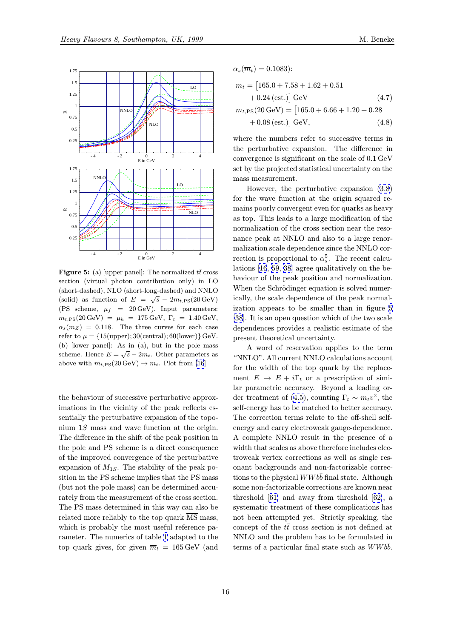<span id="page-15-0"></span>

**Figure 5:** (a) [upper panel]: The normalized  $t\bar{t}$  cross section (virtual photon contribution only) in LO (short-dashed), NLO (short-long-dashed) and NNLO (solid) as function of  $E = \sqrt{s} - 2m_{t,PS}(20 \,\text{GeV})$ (PS scheme,  $\mu_f$  = 20 GeV). Input parameters:  $m_{t,PS}(20 \,\text{GeV}) = \mu_h = 175 \,\text{GeV}, \Gamma_t = 1.40 \,\text{GeV},$  $\alpha_s(m_Z)$  = 0.118. The three curves for each case refer to  $\mu = \{15(\text{upper}); 30(\text{central}); 60(\text{lower})\} \,\text{GeV}.$ (b) [lower panel]: As in (a), but in the pole mass scheme. Hence  $E = \sqrt{s} - 2m_t$ . Other parameters as above with  $m_{t,PS}(20 \,\text{GeV}) \to m_t$ . Plot from [16]

the behaviour of successive perturbative a[pp](#page-19-0)roximations in the vicinity of the peak reflects essentially the perturbative expansion of the toponium 1S mass and wave function at the origin. The difference in the shift of the peak position in the pole and PS scheme is a direct consequence of the improved convergence of the perturbative expansion of  $M_{1S}$ . The stability of the peak position in the PS scheme implies that the PS mass (but not the pole mass) can be determined accurately from the measurement of the cross section. The PS mass determined in this way can also be related more reliably to the top quark  $\overline{\text{MS}}$  mass, which is probably the most useful reference parameter. The numerics of table 1 adapted to the top quark gives, for given  $\overline{m}_t = 165 \,\text{GeV}$  (and

$$
m_t = [165.0 + 7.58 + 1.62 + 0.51
$$
  
+ 0.24 (est.)] GeV (4.7)  

$$
m_{t,PS}(20 \text{ GeV}) = [165.0 + 6.66 + 1.20 + 0.28
$$
  
+ 0.08 (est.)] GeV, (4.8)

 $\alpha_s(\overline{m}_t)=0.1083$ :

where the numbers refer to successive terms in the perturbative expansion. The difference in convergence is significant on the scale of 0.1 GeV set by the projected statistical uncertainty on the mass measurement.

However, the perturbative expansion (3.8) for the wave function at the origin squared remains poorly convergent even for quarks as heavy as top. This leads to a large modification of the normalization of the cross section near the [reso](#page-12-0)nance peak at NNLO and also to a large renormalization scale dependence since the NNLO correction is proportional to  $\alpha_s^5$ . The recent calculations [16, 59, 38] agree qualitatively on the behaviour of the peak position and normalization. When the Schrödinger equation is solved numerically, the scale dependence of the peak normalization [ap](#page-19-0)p[ear](#page-21-0)[s t](#page-20-0)o be smaller than in figure 5 [38]. It is an open question which of the two scale dependences provides a realistic estimate of the present theoretical uncertainty.

A word of reservation applies to the term ["N](#page-20-0)NLO". All current NNLO calculations account for the width of the top quark by the replacement  $E \to E + i\Gamma_t$  or a prescription of similar parametric accuracy. Beyond a leading order treatment of (4.5), counting  $\Gamma_t \sim m_t v^2$ , the self-energy has to be matched to better accuracy. The correction terms relate to the off-shell selfenergy and carry electroweak gauge-dependence. A complete NNL[O r](#page-14-0)esult in the presence of a width that scales as above therefore includes electroweak vertex corrections as well as single resonant backgrounds and non-factorizable corrections to the physical  $WWb\bar{b}$  final state. Although some non-factorizable corrections are known near threshold [61] and away from threshold [62], a systematic treatment of these complications has not been attempted yet. Strictly speaking, the concept of the  $t\bar{t}$  cross section is not defined at NNLO an[d th](#page-21-0)e problem has to be formul[ated](#page-21-0) in terms of a particular final state such as  $WWbb$ .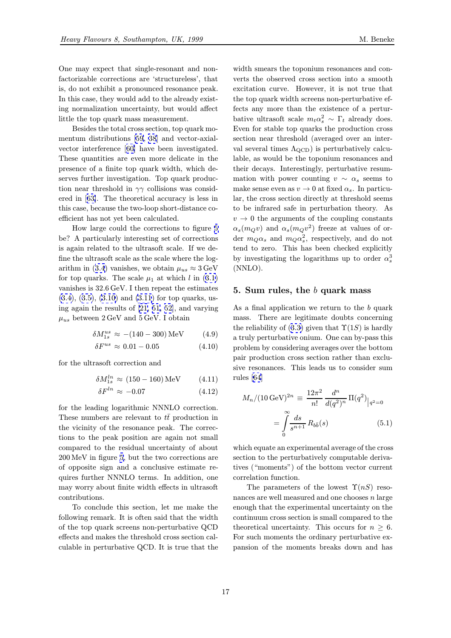<span id="page-16-0"></span>One may expect that single-resonant and nonfactorizable corrections are 'structureless', that is, do not exhibit a pronounced resonance peak. In this case, they would add to the already existing normalization uncertainty, but would affect little the top quark mass measurement.

Besides the total cross section, top quark momentum distributions [59, 38] and vector-axialvector interference [60] have been investigated. These quantities are even more delicate in the presence of a finite top quark width, which deserves further investiga[tio](#page-21-0)[n. T](#page-20-0)op quark production near threshold [in](#page-21-0)  $\gamma\gamma$  collisions was considered in [63]. The theoretical accuracy is less in this case, because the two-loop short-distance coefficient has not yet been calculated.

How large could the corrections to figure 5 be? A p[art](#page-21-0)icularly interesting set of corrections is again related to the ultrasoft scale. If we define the ultrasoft scale as the scale where the logarithm in (3.4) vanishes, we obtain  $\mu_{us} \approx 3 \,\text{GeV}$  $\mu_{us} \approx 3 \,\text{GeV}$  $\mu_{us} \approx 3 \,\text{GeV}$ for top quarks. The scale  $\mu_1$  at which l in (3.1) vanishes is 32.6 GeV. I then repeat the estimates  $(3.4), (3.5), (3.10)$  and  $(3.11)$  for top quarks, using again t[he](#page-11-0) results of [21, 51, 52], and var[ying](#page-11-0)  $\mu_{us}$  between 2 GeV and 5 GeV. I obtain

$$
\delta M_{1s}^{us} \approx -(140 - 300) \,\text{MeV} \tag{4.9}
$$

$$
\delta F^{us} \approx 0.01 - 0.05 \tag{4.10}
$$

for the ultrasoft correction and

$$
\delta M_{1s}^{ln} \approx (150 - 160) \,\text{MeV} \tag{4.11}
$$

$$
\delta F^{ln} \approx -0.07 \tag{4.12}
$$

for the leading logarithmic NNNLO correction. These numbers are relevant to  $t\bar{t}$  production in the vicinity of the resonance peak. The corrections to the peak position are again not small compared to the residual uncertainty of about 200 MeV in figure 5, but the two corrections are of opposite sign and a conclusive estimate requires further NNNLO terms. In addition, one may worry about [fin](#page-15-0)ite width effects in ultrasoft contributions.

To conclude this section, let me make the following remark. It is often said that the width of the top quark screens non-perturbative QCD effects and makes the threshold cross section calculable in perturbative QCD. It is true that the

width smears the toponium resonances and converts the observed cross section into a smooth excitation curve. However, it is not true that the top quark width screens non-perturbative effects any more than the existence of a perturbative ultrasoft scale  $m_t \alpha_s^2 \sim \Gamma_t$  already does. Even for stable top quarks the production cross section near threshold (averaged over an interval several times  $\Lambda_{\rm QCD}$ ) is perturbatively calculable, as would be the toponium resonances and their decays. Interestingly, perturbative resummation with power counting  $v \sim \alpha_s$  seems to make sense even as  $v \to 0$  at fixed  $\alpha_s$ . In particular, the cross section directly at threshold seems to be infrared safe in perturbation theory. As  $v \rightarrow 0$  the arguments of the coupling constants  $\alpha_s(m_Qv)$  and  $\alpha_s(m_Qv^2)$  freeze at values of order  $m_Q \alpha_s$  and  $m_Q \alpha_s^2$ , respectively, and do not tend to zero. This has been checked explicitly by investigating the logarithms up to order  $\alpha_s^3$ (NNLO).

#### 5. Sum rules, the  $b$  quark mass

As a final application we return to the b quark mass. There are legitimate doubts concerning the reliability of  $(3.3)$  given that  $\Upsilon(1S)$  is hardly a truly perturbative onium. One can by-pass this problem by considering averages over the bottom pair production cross section rather than exclusive resonances. [Thi](#page-11-0)s leads us to consider sum rules [64]

$$
M_n/(10 \,\text{GeV})^{2n} \equiv \frac{12\pi^2}{n!} \frac{d^n}{d(q^2)^n} \Pi(q^2)|_{q^2=0}
$$

$$
= \int_0^\infty \frac{ds}{s^{n+1}} R_{b\bar{b}}(s) \tag{5.1}
$$

which equate an experimental average of the cross section to the perturbatively computable derivatives ("moments") of the bottom vector current correlation function.

The parameters of the lowest  $\Upsilon(nS)$  resonances are well measured and one chooses n large enough that the experimental uncertainty on the continuum cross section is small compared to the theoretical uncertainty. This occurs for  $n \geq 6$ . For such moments the ordinary perturbative expansion of the moments breaks down and has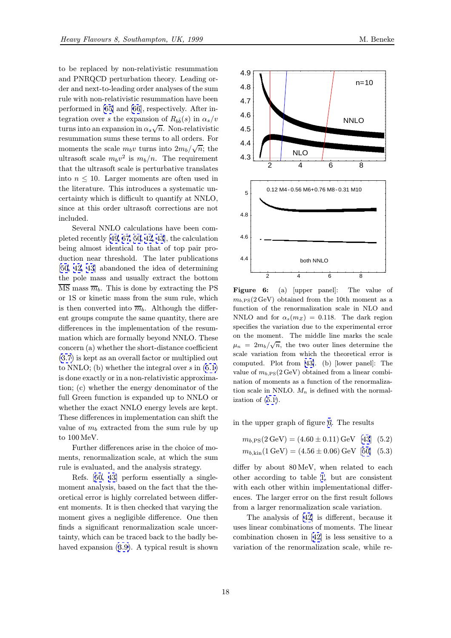<span id="page-17-0"></span>to be replaced by non-relativistic resummation and PNRQCD perturbation theory. Leading order and next-to-leading order analyses of the sum rule with non-relativistic resummation have been performed in [65] and [66], respectively. After integration over s the expansion of  $R_{b\bar{b}}(s)$  in  $\alpha_s/v$ turns into an expansion in  $\alpha_s\sqrt{n}$ . Non-relativistic resummation sums these terms to all orders. For moments the [sca](#page-21-0)le  $m_b v$  $m_b v$  turns into  $2m_b/\sqrt{n}$ ; the ultrasoft scale  $m_b v^2$  is  $m_b/n$ . The requirement that the ultrasoft scale is perturbative translates into  $n \leq 10$ . Larger moments are often used in the literature. This introduces a systematic uncertainty which is difficult to quantify at NNLO, since at this order ultrasoft corrections are not included.

Several NNLO calculations have been completed recently [49, 67, 50, 42, 43], the calculation being almost identical to that of top pair production near threshold. The later publications [50, 42, 43] abandoned the idea of determining the pole mass [and](#page-20-0) [u](#page-21-0)s[ually](#page-20-0) e[xtr](#page-20-0)act the bottom  $\overline{\text{MS}}$  mass  $\overline{m}_b$ . This is done by extracting the PS or 1S or kinetic mass from the sum rule, which [is then](#page-20-0) [con](#page-20-0)verted into  $\overline{m}_b$ . Although the different groups compute the same quantity, there are differences in the implementation of the resummation which are formally beyond NNLO. These concern (a) whether the short-distance coefficient (3.7) is kept as an overall factor or multiplied out to NNLO; (b) whether the integral over  $s$  in  $(5.1)$ is done exactly or in a non-relativistic approximation; (c) whether the energy denominator of the f[ull](#page-12-0) Green function is expanded up to NNLO or whether the exact NNLO energy levels are [kept](#page-16-0). These differences in implementation can shift the value of  $m_b$  extracted from the sum rule by up to 100 MeV.

Further differences arise in the choice of moments, renormalization scale, at which the sum rule is evaluated, and the analysis strategy.

Refs. [50, 43] perform essentially a singlemoment analysis, based on the fact that the theoretical error is highly correlated between different moments. It is then checked that varying the moment gi[ves](#page-20-0) [a n](#page-20-0)egligible difference. One then finds a significant renormalization scale uncertainty, which can be traced back to the badly behaved expansion (3.9). A typical result is shown



**Figure 6:** (a) [upper panel]: The value of  $m_{b,PS}(2 \text{ GeV})$  obtained from the 10th moment as a function of the renormalization scale in NLO and NNLO and for  $\alpha_s(m_Z) = 0.118$ . The dark region specifies the variation due to the experimental error on the moment. The middle line marks the scale  $\mu_n = 2m_b/\sqrt{n}$ , the two outer lines determine the scale variation from which the theoretical error is computed. Plot from [43]. (b) [lower panel]: The value of  $m_{b,PS}(2 \,\text{GeV})$  obtained from a linear combination of moments as a function of the renormalization scale in NNLO.  $M_n$  is defined with the normalization of (5.1).

in the upper graph of figure 6. The results

 $m_{b,PS}(2 \text{ GeV}) = (4.60 \pm 0.11) \text{ GeV}$  [43] (5.2)

$$
m_{b,\text{kin}}(1\,\text{GeV}) = (4.56 \pm 0.06)\,\text{GeV} \,\,[50] \,\,(5.3)
$$

differ by about 80 MeV, when related to each other according to table 1, but are [con](#page-20-0)sistent with each other within implementatio[nal](#page-20-0) differences. The larger error on the first result follows from a larger renormalization scale variation.

The analysis of [42] i[s](#page-10-0) different, because it uses linear combinations of moments. The linear combination chosen in [42] is less sensitive to a variation of the reno[rm](#page-20-0)alization scale, while re-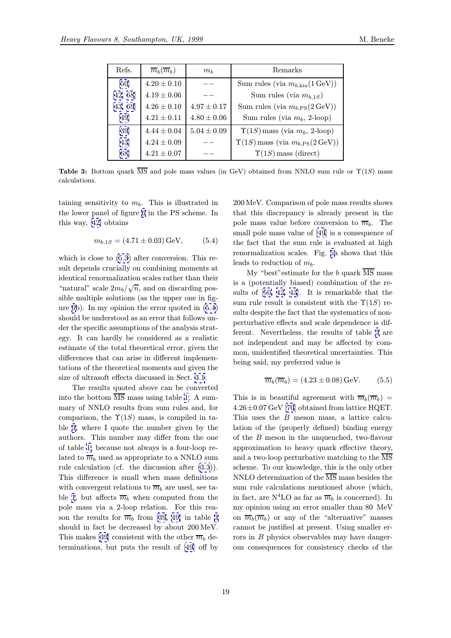| Refs.    | $\overline{m}_b(\overline{m}_b)$ | $m_h$           | Remarks                                                       |
|----------|----------------------------------|-----------------|---------------------------------------------------------------|
| [50]     | $4.20 \pm 0.10$                  |                 | Sum rules (via $m_{b,kin}(1 \,\text{GeV})$ )                  |
| [42, 68] | $4.19 \pm 0.06$                  |                 | Sum rules (via $m_{b,1S}$ )                                   |
| [43, 69] | $4.26 \pm 0.10$                  | $4.97 \pm 0.17$ | Sum rules (via $m_{b,\text{PS}}(2 \,\text{GeV}))$             |
| [49]     | $4.21 \pm 0.11$                  | $4.80 \pm 0.06$ | Sum rules (via $m_b$ , 2-loop)                                |
| [39]     | $4.44 \pm 0.04$                  | $5.04 \pm 0.09$ | $\Upsilon(1S)$ mass (via $m_b$ , 2-loop)                      |
| [43]     | $4.24 \pm 0.09$                  |                 | $\Upsilon(1S)$ mass (via $m_{b, \text{PS}}(2 \,\text{GeV})$ ) |
| [68]     | $4.21 \pm 0.07$                  |                 | $\Upsilon(1S)$ mass (direct)                                  |

Table 3: Bottom [quar](#page-20-0)k  $\overline{\text{MS}}$  and pole mass values (in GeV) obtained from NNLO sum rule or  $\Upsilon(1S)$  mass calculations.

taining sensitivity to  $m_b$ . This is illustrated in the lower panel of figure 6 in the PS scheme. In this way, [42] obtains

$$
m_{b,1S} = (4.71 \pm 0.03) \,\text{GeV},\tag{5.4}
$$

which is c[los](#page-20-0)e to (5.3) after conversion. This result depends crucially on combining moments at identical renormalization scales rather than their "natural" scale  $2m_b/\sqrt{n}$ , and on discarding possible multiple sol[ution](#page-17-0)s (as the upper one in figure 6b). In my opinion the error quoted in (5.4) should be understood as an error that follows under the specific assumptions of the analysis strategy. It can hardly be considered as a realistic esti[m](#page-17-0)ate of the total theoretical error, given the differences that can arise in different implementations of the theoretical moments and given the size of ultrasoft effects discussed in Sect. 3.1.

The results quoted above can be converted into the bottom MS mass using table 1. A summary of NNLO results from sum rules and, for comparison, the  $\Upsilon(1S)$  mass, is compile[d in](#page-11-0) table 3, where I quote the number given by the authors. This number may differ fro[m](#page-10-0) the one of table 1, because not always is a four-loop related to  $\overline{m}_b$  used as appropriate to a NNLO sum rule calculation (cf. the discussion after (3.3)). This difference is small when mass definitions with co[nve](#page-10-0)rgent relations to  $\overline{m}_b$  are used, see table 1, but affects  $\overline{m}_b$  when computed from the pole mass via a 2-loop relation. For thi[s re](#page-11-0)ason the results for  $\overline{m}_b$  from [39, 49] in table 3 should in fact be decreased by about 200 MeV. Thi[s](#page-10-0) makes [39] consistent with the other  $\overline{m}_b$  determinations, but puts the r[esul](#page-20-0)t [of](#page-20-0) [49] off by 200 MeV. Comparison of pole mass results shows that this discrepancy is already present in the pole mass value before conversion to  $\overline{m}_b$ . The small pole mass value of [49] is a consequence of the fact that the sum rule is evaluated at high renormalization scales. Fig. 5a shows that this leads to reduction of  $m_b$ .

My "best"estimate fo[r t](#page-20-0)he b quark MS mass is a (potentially biased) combination of the results of [50, 42, 43]. It is r[em](#page-15-0)arkable that the sum rule result is consistent with the  $\Upsilon(1S)$  results despite the fact that the systematics of nonperturbative effects and scale dependence is different. [Nev](#page-20-0)e[rtheles](#page-20-0)s, the results of table 3 are not independent and may be affected by common, unidentified theoretical uncertainties. This being said, my preferred value is

$$
\overline{m}_b(\overline{m}_b) = (4.23 \pm 0.08) \,\text{GeV}.\tag{5.5}
$$

This is in beautiful agreement with  $\overline{m}_b(\overline{m}_b)$  = 4.26±0.07 GeV [70] obtained from lattice HQET. This uses the B meson mass, a lattice calculation of the (properly defined) binding energy of the B meson in the unquenched, two-flavour approximation [to](#page-21-0) heavy quark effective theory, and a two-loop perturbative matching to the MS scheme. To our knowledge, this is the only other NNLO determination of the  $\overline{\text{MS}}$  mass besides the sum rule calculations mentioned above (which, in fact, are  $N^4LO$  as far as  $\overline{m}_b$  is concerned). In my opinion using an error smaller than 80 MeV on  $\overline{m}_b(\overline{m}_b)$  or any of the "alternative" masses cannot be justified at present. Using smaller errors in B physics observables may have dangerous consequences for consistency checks of the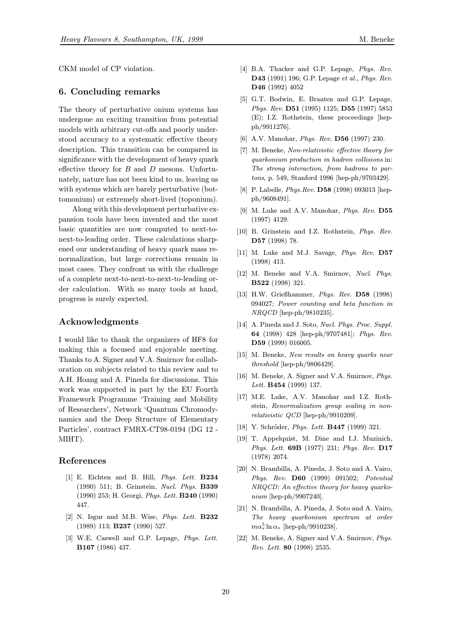<span id="page-19-0"></span>CKM model of CP violation.

# 6. Concluding remarks

The theory of perturbative onium systems has undergone an exciting transition from potential models with arbitrary cut-offs and poorly understood accuracy to a systematic effective theory description. This transition can be compared in significance with the development of heavy quark effective theory for  $B$  and  $D$  mesons. Unfortunately, nature has not been kind to us, leaving us with systems which are barely perturbative (bottomonium) or extremely short-lived (toponium).

Along with this development perturbative expansion tools have been invented and the most basic quantities are now computed to next-tonext-to-leading order. These calculations sharpened our understanding of heavy quark mass renormalization, but large corrections remain in most cases. They confront us with the challenge of a complete next-to-next-to-next-to-leading order calculation. With so many tools at hand, progress is surely expected.

# Acknowledgments

I would like to thank the organizers of HF8 for making this a focused and enjoyable meeting. Thanks to A. Signer and V.A. Smirnov for collaboration on subjects related to this review and to A.H. Hoang and A. Pineda for discussions. This work was supported in part by the EU Fourth Framework Programme 'Training and Mobility of Researchers', Network 'Quantum Chromodynamics and the Deep Structure of Elementary Particles', contract FMRX-CT98-0194 (DG 12 - MIHT).

## References

- [1] E. Eichten and B. Hill, Phys. Lett. B234 (1990) 511; B. Grinstein, Nucl. Phys. B339 (1990) 253; H. Georgi, Phys. Lett. B240 (1990) 447.
- [2] N. Isgur and M.B. Wise, *Phys. Lett.* **B232** (1989) 113; B237 (1990) 527.
- [3] W.E. Caswell and G.P. Lepage, *Phys. Lett.* B167 (1986) 437.
- [4] B.A. Thacker and G.P. Lepage, Phys. Rev. D43 (1991) 196; G.P. Lepage et al., Phys. Rev. D46 (1992) 4052
- [5] G.T. Bodwin, E. Braaten and G.P. Lepage, Phys. Rev. D51 (1995) 1125; D55 (1997) 5853 (E); I.Z. Rothstein, these proceedings [hepph/9911276].
- [6] A.V. Manohar, Phys. Rev. D56 (1997) 230.
- [7] M. Beneke, Non-relativistic effective theory for quarkonium production in hadron collisions in: The strong interaction, from hadrons to partons, p. 549, Stanford 1996 [hep-ph/9703429].
- [8] P. Labelle, *Phys.Rev.* **D58** (1998) 093013 [hepph/9608491].
- [9] M. Luke and A.V. Manohar, *Phys. Rev.* D55 (1997) 4129.
- [10] B. Grinstein and I.Z. Rothstein, Phys. Rev. D57 (1998) 78.
- [11] M. Luke and M.J. Savage, Phys. Rev. D57 (1998) 413.
- [12] M. Beneke and V.A. Smirnov, Nucl. Phys. B522 (1998) 321.
- [13] H.W. Grießhammer, Phys. Rev. D58 (1998) 094027; Power counting and beta function in NRQCD [hep-ph/9810235].
- [14] A. Pineda and J. Soto, *Nucl. Phys. Proc. Suppl.* 64 (1998) 428 [hep-ph/9707481]; Phys. Rev. D59 (1999) 016005.
- [15] M. Beneke, New results on heavy quarks near threshold [hep-ph/9806429].
- [16] M. Beneke, A. Signer and V.A. Smirnov, Phys. Lett. B454 (1999) 137.
- [17] M.E. Luke, A.V. Manohar and I.Z. Rothstein, Renormalization group scaling in nonrelativistic QCD [hep-ph/9910209].
- [18] Y. Schröder, Phys. Lett. **B447** (1999) 321.
- [19] T. Appelquist, M. Dine and I.J. Muzinich, Phys. Lett. 69B (1977) 231; Phys. Rev. D17 (1978) 2074.
- [20] N. Brambilla, A. Pineda, J. Soto and A. Vairo, Phys. Rev. D60 (1999) 091502; Potential NRQCD: An effective theory for heavy quarkonium [hep-ph/9907240].
- [21] N. Brambilla, A. Pineda, J. Soto and A. Vairo, The heavy quarkonium spectrum at order  $m\alpha_s^5\ln\alpha_s$  [hep-ph/9910238].
- [22] M. Beneke, A. Signer and V.A. Smirnov, Phys. Rev. Lett. 80 (1998) 2535.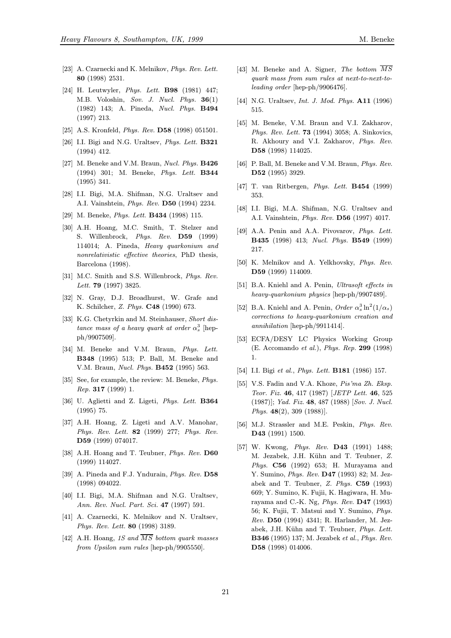- <span id="page-20-0"></span>[23] A. Czarnecki and K. Melnikov, Phys. Rev. Lett. 80 (1998) 2531.
- [24] H. Leutwyler, *Phys. Lett.* **B98** (1981) 447; M.B. Voloshin, Sov. J. Nucl. Phys. 36(1) (1982) 143; A. Pineda, Nucl. Phys. B494 (1997) 213.
- [25] A.S. Kronfeld, *Phys. Rev.* **D58** (1998) 051501.
- [26] I.I. Bigi and N.G. Uraltsev, *Phys. Lett.* **B321** (1994) 412.
- [27] M. Beneke and V.M. Braun, Nucl. Phys. **B426** (1994) 301; M. Beneke, Phys. Lett. B344 (1995) 341.
- [28] I.I. Bigi, M.A. Shifman, N.G. Uraltsev and A.I. Vainshtein, Phys. Rev. D50 (1994) 2234.
- [29] M. Beneke, *Phys. Lett.* **B434** (1998) 115.
- [30] A.H. Hoang, M.C. Smith, T. Stelzer and S. Willenbrock, Phys. Rev. D59 (1999) 114014; A. Pineda, Heavy quarkonium and nonrelativistic effective theories, PhD thesis, Barcelona (1998).
- [31] M.C. Smith and S.S. Willenbrock, Phys. Rev. Lett. 79 (1997) 3825.
- [32] N. Gray, D.J. Broadhurst, W. Grafe and K. Schilcher, Z. Phys. C48 (1990) 673.
- [33] K.G. Chetyrkin and M. Steinhauser, Short distance mass of a heavy quark at order  $\alpha_s^3$  [hepph/9907509].
- [34] M. Beneke and V.M. Braun, Phys. Lett. B348 (1995) 513; P. Ball, M. Beneke and V.M. Braun, Nucl. Phys. B452 (1995) 563.
- [35] See, for example, the review: M. Beneke, *Phys.* Rep. 317 (1999) 1.
- [36] U. Aglietti and Z. Ligeti, Phys. Lett. B364 (1995) 75.
- [37] A.H. Hoang, Z. Ligeti and A.V. Manohar, Phys. Rev. Lett. 82 (1999) 277; Phys. Rev. D59 (1999) 074017.
- [38] A.H. Hoang and T. Teubner, *Phys. Rev.* D60 (1999) 114027.
- [39] A. Pineda and F.J. Yndurain, *Phys. Rev.* D58 (1998) 094022.
- [40] I.I. Bigi, M.A. Shifman and N.G. Uraltsev, Ann. Rev. Nucl. Part. Sci. 47 (1997) 591.
- [41] A. Czarnecki, K. Melnikov and N. Uraltsev, Phys. Rev. Lett. 80 (1998) 3189.
- [42] A.H. Hoang, 1S and  $\overline{MS}$  bottom quark masses from Upsilon sum rules [hep-ph/9905550].
- [43] M. Beneke and A. Signer, The bottom  $\overline{MS}$ quark mass from sum rules at next-to-next-toleading order [hep-ph/9906476].
- [44] N.G. Uraltsev, *Int. J. Mod. Phys.* **A11** (1996) 515.
- [45] M. Beneke, V.M. Braun and V.I. Zakharov, Phys. Rev. Lett. 73 (1994) 3058; A. Sinkovics, R. Akhoury and V.I. Zakharov, Phys. Rev. D58 (1998) 114025.
- [46] P. Ball, M. Beneke and V.M. Braun, *Phys. Rev.* D52 (1995) 3929.
- [47] T. van Ritbergen, Phys. Lett. B454 (1999) 353.
- [48] I.I. Bigi, M.A. Shifman, N.G. Uraltsev and A.I. Vainshtein, Phys. Rev. D56 (1997) 4017.
- [49] A.A. Penin and A.A. Pivovarov, Phys. Lett. B435 (1998) 413; Nucl. Phys. B549 (1999) 217.
- [50] K. Melnikov and A. Yelkhovsky, Phys. Rev. D59 (1999) 114009.
- [51] B.A. Kniehl and A. Penin, Ultrasoft effects in heavy-quarkonium physics [hep-ph/9907489].
- [52] B.A. Kniehl and A. Penin, Order  $\alpha_s^3 \ln^2(1/\alpha_s)$ corrections to heavy-quarkonium creation and annihilation [hep-ph/9911414].
- [53] ECFA/DESY LC Physics Working Group (E. Accomando et al.), Phys. Rep. 299 (1998) 1.
- [54] I.I. Bigi et al., Phys. Lett. **B181** (1986) 157.
- [55] V.S. Fadin and V.A. Khoze, Pis'ma Zh. Eksp. Teor. Fiz. 46, 417 (1987) [JETP Lett. 46, 525 (1987)]; Yad. Fiz. 48, 487 (1988) [Sov. J. Nucl. Phys. 48(2), 309 (1988)].
- [56] M.J. Strassler and M.E. Peskin, *Phys. Rev.* D43 (1991) 1500.
- [57] W. Kwong, Phys. Rev. D43 (1991) 1488; M. Jezabek, J.H. Kühn and T. Teubner, Z. Phys. C56 (1992) 653; H. Murayama and Y. Sumino, Phys. Rev. D47 (1993) 82; M. Jezabek and T. Teubner, Z. Phys. C59 (1993) 669; Y. Sumino, K. Fujii, K. Hagiwara, H. Murayama and C.-K. Ng, Phys. Rev. D47 (1993) 56; K. Fujii, T. Matsui and Y. Sumino, Phys. Rev. D50 (1994) 4341; R. Harlander, M. Jezabek, J.H. Kühn and T. Teubner, Phys. Lett. B346 (1995) 137; M. Jezabek et al., Phys. Rev. D58 (1998) 014006.